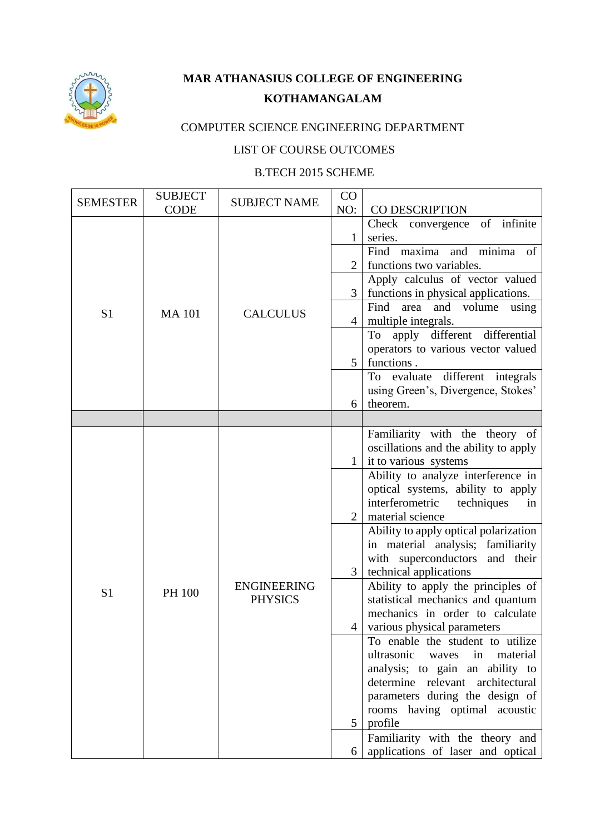

## **MAR ATHANASIUS COLLEGE OF ENGINEERING KOTHAMANGALAM**

## COMPUTER SCIENCE ENGINEERING DEPARTMENT

## LIST OF COURSE OUTCOMES

## B.TECH 2015 SCHEME

| <b>SEMESTER</b> | <b>SUBJECT</b>     | <b>SUBJECT NAME</b> | CO<br>NO:                                                    | CO DESCRIPTION                                 |
|-----------------|--------------------|---------------------|--------------------------------------------------------------|------------------------------------------------|
|                 | <b>CODE</b>        |                     |                                                              | Check convergence of infinite                  |
|                 |                    |                     | 1                                                            | series.                                        |
|                 |                    |                     |                                                              | Find maxima and minima of                      |
|                 |                    |                     | $\overline{2}$                                               | functions two variables.                       |
|                 |                    |                     |                                                              | Apply calculus of vector valued                |
|                 |                    |                     | 3                                                            | functions in physical applications.            |
| S <sub>1</sub>  | <b>MA101</b>       | <b>CALCULUS</b>     |                                                              | Find<br>and volume<br>area<br>using            |
|                 |                    |                     | 4                                                            | multiple integrals.                            |
|                 |                    |                     |                                                              | apply different differential<br>To             |
|                 |                    |                     |                                                              | operators to various vector valued             |
|                 |                    |                     | 5                                                            | functions.                                     |
|                 |                    |                     |                                                              | To evaluate different integrals                |
|                 |                    |                     |                                                              | using Green's, Divergence, Stokes'<br>theorem. |
|                 |                    |                     | 6                                                            |                                                |
|                 |                    |                     |                                                              | Familiarity with the theory of                 |
|                 | <b>ENGINEERING</b> |                     |                                                              | oscillations and the ability to apply          |
|                 |                    |                     | $\mathbf{1}$                                                 | it to various systems                          |
|                 |                    |                     |                                                              | Ability to analyze interference in             |
|                 |                    |                     |                                                              | optical systems, ability to apply              |
|                 |                    |                     |                                                              | interferometric<br>techniques<br>in            |
|                 |                    |                     |                                                              | material science                               |
|                 |                    |                     |                                                              | Ability to apply optical polarization          |
|                 |                    |                     |                                                              | in material analysis; familiarity              |
|                 |                    |                     | 3                                                            | with superconductors and their                 |
|                 |                    |                     | technical applications<br>Ability to apply the principles of |                                                |
| S <sub>1</sub>  | PH 100             | <b>PHYSICS</b>      |                                                              | statistical mechanics and quantum              |
|                 |                    |                     |                                                              | mechanics in order to calculate                |
|                 |                    |                     | $\overline{4}$                                               | various physical parameters                    |
|                 |                    |                     |                                                              | To enable the student to utilize               |
|                 |                    |                     |                                                              | ultrasonic<br>material<br>waves<br>in          |
|                 |                    |                     |                                                              | analysis; to gain an ability to                |
|                 |                    |                     |                                                              | determine relevant<br>architectural            |
|                 |                    |                     |                                                              | parameters during the design of                |
|                 |                    |                     |                                                              | rooms having optimal acoustic                  |
|                 |                    |                     | 5                                                            | profile                                        |
|                 |                    |                     |                                                              | Familiarity with the theory and                |
|                 |                    |                     | 6                                                            | applications of laser and optical              |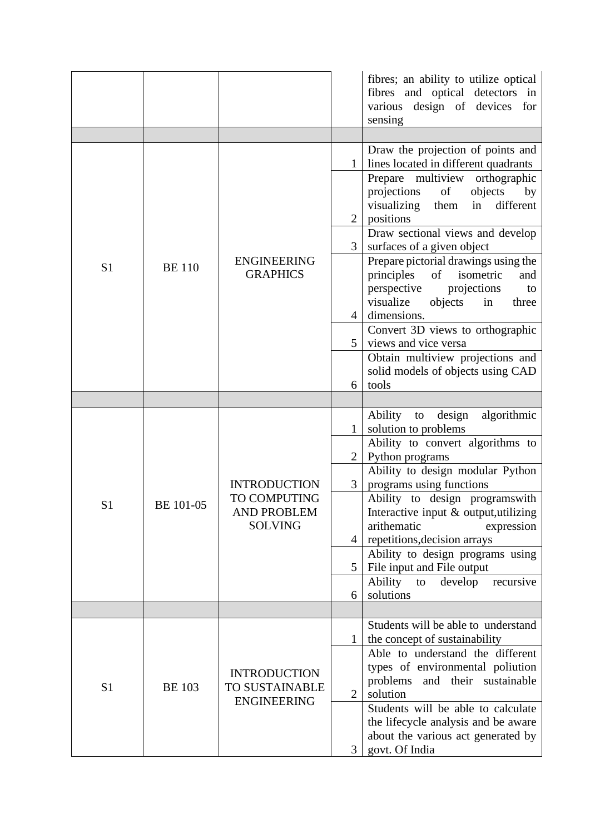|                |                  |                                                                             |                | fibres; an ability to utilize optical<br>fibres and optical detectors in<br>various design of devices for<br>sensing |
|----------------|------------------|-----------------------------------------------------------------------------|----------------|----------------------------------------------------------------------------------------------------------------------|
|                |                  |                                                                             |                |                                                                                                                      |
|                |                  |                                                                             |                | Draw the projection of points and                                                                                    |
|                |                  |                                                                             |                | lines located in different quadrants<br>Prepare multiview orthographic                                               |
|                |                  |                                                                             |                | projections<br>of<br>objects<br>by                                                                                   |
|                |                  |                                                                             |                | different<br>visualizing<br>them<br>in                                                                               |
|                |                  |                                                                             | $\overline{2}$ | positions                                                                                                            |
|                |                  |                                                                             |                | Draw sectional views and develop                                                                                     |
|                |                  | <b>ENGINEERING</b>                                                          | 3              | surfaces of a given object<br>Prepare pictorial drawings using the                                                   |
| S <sub>1</sub> | <b>BE</b> 110    | <b>GRAPHICS</b>                                                             |                | principles<br>of<br>isometric<br>and                                                                                 |
|                |                  |                                                                             |                | perspective<br>projections<br>to                                                                                     |
|                |                  |                                                                             |                | visualize<br>objects<br>in<br>three                                                                                  |
|                |                  |                                                                             | $\overline{4}$ | dimensions.<br>Convert 3D views to orthographic                                                                      |
|                |                  |                                                                             | 5              | views and vice versa                                                                                                 |
|                |                  |                                                                             |                | Obtain multiview projections and                                                                                     |
|                |                  |                                                                             |                | solid models of objects using CAD                                                                                    |
|                |                  |                                                                             | 6              | tools                                                                                                                |
|                |                  |                                                                             |                | Ability<br>design<br>algorithmic                                                                                     |
|                | <b>BE 101-05</b> |                                                                             | $\mathbf{1}$   | to<br>solution to problems                                                                                           |
|                |                  |                                                                             |                | Ability to convert algorithms to                                                                                     |
|                |                  |                                                                             | 2              | Python programs                                                                                                      |
|                |                  |                                                                             |                | Ability to design modular Python                                                                                     |
|                |                  | <b>INTRODUCTION</b><br>TO COMPUTING<br><b>AND PROBLEM</b><br><b>SOLVING</b> | 3              | programs using functions<br>Ability to design programswith                                                           |
| S <sub>1</sub> |                  |                                                                             |                | Interactive input $\&$ output, utilizing                                                                             |
|                |                  |                                                                             |                | arithematic<br>expression                                                                                            |
|                |                  |                                                                             | $\overline{4}$ | repetitions, decision arrays                                                                                         |
|                |                  |                                                                             |                | Ability to design programs using                                                                                     |
|                |                  |                                                                             | $5^{\circ}$    | File input and File output<br>Ability<br>develop<br>to<br>recursive                                                  |
|                |                  |                                                                             | 6              | solutions                                                                                                            |
|                |                  |                                                                             |                |                                                                                                                      |
|                |                  |                                                                             |                | Students will be able to understand                                                                                  |
|                |                  |                                                                             |                | the concept of sustainability                                                                                        |
|                |                  |                                                                             |                | Able to understand the different<br>types of environmental poliution                                                 |
|                |                  | <b>INTRODUCTION</b>                                                         |                | and their sustainable<br>problems                                                                                    |
| S <sub>1</sub> | <b>BE</b> 103    | TO SUSTAINABLE<br><b>ENGINEERING</b>                                        | $\overline{2}$ | solution                                                                                                             |
|                |                  |                                                                             |                | Students will be able to calculate                                                                                   |
|                |                  |                                                                             |                | the lifecycle analysis and be aware<br>about the various act generated by                                            |
|                |                  |                                                                             | 3              | govt. Of India                                                                                                       |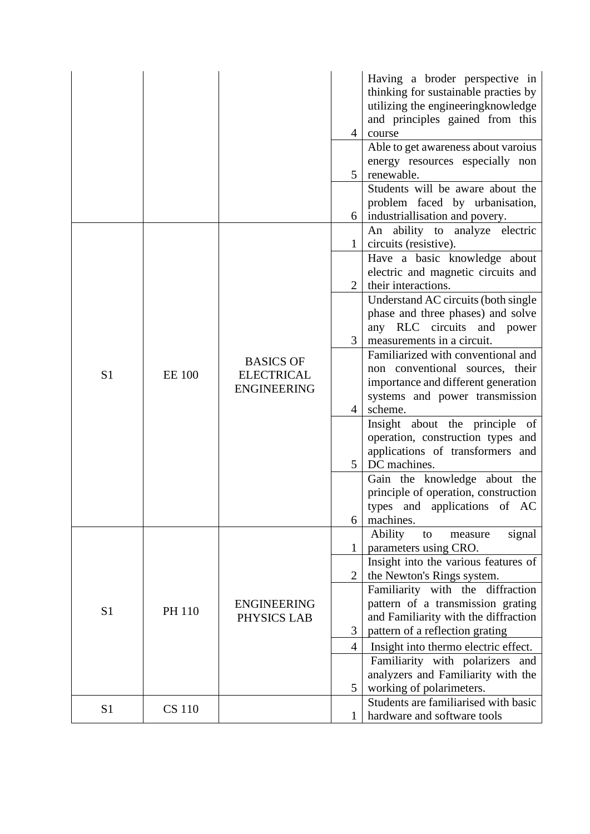|                |               |                                                             | $\overline{4}$ | Having a broder perspective in<br>thinking for sustainable practies by<br>utilizing the engineering knowledge<br>and principles gained from this<br>course |
|----------------|---------------|-------------------------------------------------------------|----------------|------------------------------------------------------------------------------------------------------------------------------------------------------------|
|                |               |                                                             | 5 <sup>5</sup> | Able to get awareness about varous<br>energy resources especially non<br>renewable.                                                                        |
|                |               |                                                             |                | Students will be aware about the<br>problem faced by urbanisation,<br>industriallisation and povery.                                                       |
|                |               |                                                             |                | An ability to analyze electric<br>circuits (resistive).                                                                                                    |
|                |               |                                                             | $\overline{2}$ | Have a basic knowledge about<br>electric and magnetic circuits and<br>their interactions.                                                                  |
| S <sub>1</sub> | <b>EE</b> 100 | <b>BASICS OF</b><br><b>ELECTRICAL</b><br><b>ENGINEERING</b> | 3 <sup>1</sup> | Understand AC circuits (both single<br>phase and three phases) and solve<br>any RLC circuits and power<br>measurements in a circuit.                       |
|                |               |                                                             | $\overline{4}$ | Familiarized with conventional and<br>non conventional sources, their<br>importance and different generation<br>systems and power transmission<br>scheme.  |
|                |               |                                                             | 5 <sup>5</sup> | Insight about the principle of<br>operation, construction types and<br>applications of transformers and<br>DC machines.                                    |
|                |               |                                                             | 6              | Gain the knowledge about the<br>principle of operation, construction<br>types and applications of AC<br>machines.                                          |
|                |               |                                                             |                | Ability<br>signal<br>to<br>measure<br>parameters using CRO.<br>Insight into the various features of                                                        |
|                |               |                                                             | 2              | the Newton's Rings system.<br>Familiarity with the diffraction                                                                                             |
| S <sub>1</sub> | <b>PH 110</b> | <b>ENGINEERING</b><br>PHYSICS LAB                           | 3              | pattern of a transmission grating<br>and Familiarity with the diffraction<br>pattern of a reflection grating                                               |
|                |               |                                                             | $\overline{4}$ | Insight into thermo electric effect.                                                                                                                       |
|                |               |                                                             | 5              | Familiarity with polarizers and<br>analyzers and Familiarity with the<br>working of polarimeters.                                                          |
| S <sub>1</sub> | <b>CS</b> 110 |                                                             |                | Students are familiarised with basic                                                                                                                       |
|                |               |                                                             |                | hardware and software tools                                                                                                                                |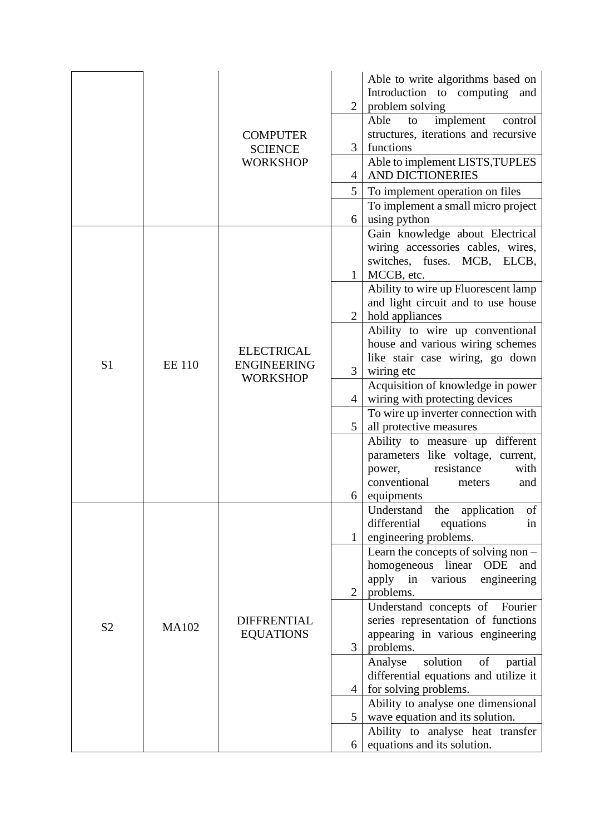|                |              |                                                            |                | Able to write algorithms based on<br>Introduction to computing and                                                                    |
|----------------|--------------|------------------------------------------------------------|----------------|---------------------------------------------------------------------------------------------------------------------------------------|
|                |              |                                                            | $\overline{2}$ | problem solving<br>implement<br>Able<br>control<br>to                                                                                 |
|                |              | <b>COMPUTER</b>                                            |                | structures, iterations and recursive                                                                                                  |
|                |              | <b>SCIENCE</b>                                             | 3              | functions                                                                                                                             |
|                |              | <b>WORKSHOP</b>                                            | 4              | Able to implement LISTS, TUPLES<br><b>AND DICTIONERIES</b>                                                                            |
|                |              |                                                            | 5              | To implement operation on files                                                                                                       |
|                |              |                                                            |                | To implement a small micro project                                                                                                    |
|                |              |                                                            | 6              | using python                                                                                                                          |
|                |              |                                                            | $\mathbf{1}$   | Gain knowledge about Electrical<br>wiring accessories cables, wires,<br>switches, fuses. MCB, ELCB,<br>MCCB, etc.                     |
|                |              |                                                            |                | Ability to wire up Fluorescent lamp<br>and light circuit and to use house                                                             |
|                |              |                                                            | $\overline{2}$ | hold appliances<br>Ability to wire up conventional                                                                                    |
|                |              |                                                            |                | house and various wiring schemes                                                                                                      |
| S <sub>1</sub> | <b>EE110</b> | <b>ELECTRICAL</b><br><b>ENGINEERING</b><br><b>WORKSHOP</b> | 3              | like stair case wiring, go down<br>wiring etc                                                                                         |
|                |              |                                                            | $\overline{4}$ | Acquisition of knowledge in power<br>wiring with protecting devices                                                                   |
|                |              |                                                            | 5              | To wire up inverter connection with<br>all protective measures                                                                        |
|                |              |                                                            |                | Ability to measure up different<br>parameters like voltage, current,<br>resistance<br>with<br>power,<br>conventional<br>meters<br>and |
|                |              |                                                            | 6              | equipments                                                                                                                            |
|                |              |                                                            |                | Understand the application of<br>differential<br>equations<br>in<br>engineering problems.                                             |
|                |              |                                                            |                | Learn the concepts of solving non -                                                                                                   |
|                |              |                                                            |                | homogeneous linear ODE<br>and                                                                                                         |
|                |              |                                                            |                | apply in various<br>engineering                                                                                                       |
|                |              |                                                            | $\overline{2}$ | problems.                                                                                                                             |
|                |              | <b>DIFFRENTIAL</b>                                         |                | Understand concepts of Fourier<br>series representation of functions                                                                  |
| S <sub>2</sub> | <b>MA102</b> | <b>EQUATIONS</b>                                           |                | appearing in various engineering                                                                                                      |
|                |              |                                                            | 3              | problems.                                                                                                                             |
|                |              |                                                            |                | solution<br>of<br>Analyse<br>partial                                                                                                  |
|                |              |                                                            |                | differential equations and utilize it                                                                                                 |
|                |              |                                                            | 4              | for solving problems.<br>Ability to analyse one dimensional                                                                           |
|                |              |                                                            | 5 <sup>1</sup> | wave equation and its solution.                                                                                                       |
|                |              |                                                            |                | Ability to analyse heat transfer                                                                                                      |
|                |              |                                                            | 6              | equations and its solution.                                                                                                           |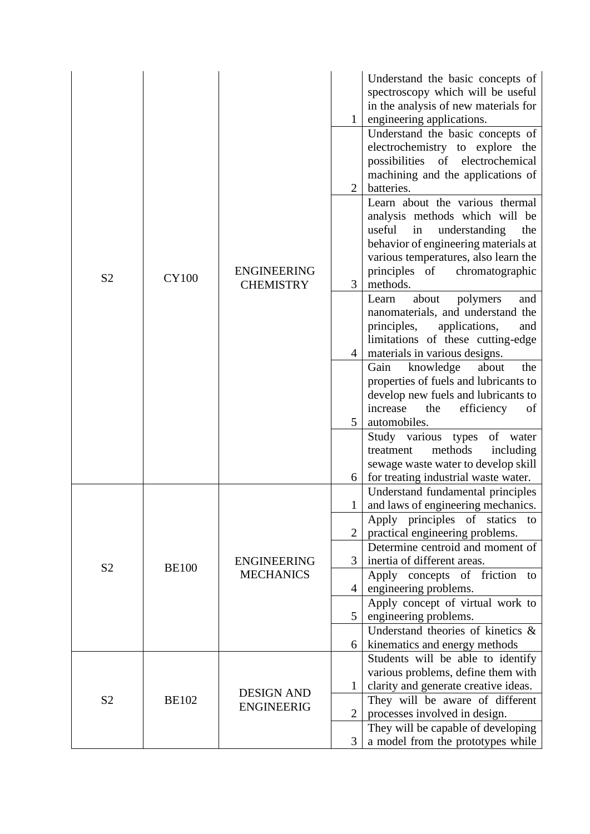| S <sub>2</sub> | <b>CY100</b> | <b>ENGINEERING</b><br><b>CHEMISTRY</b> | $\mathbf{1}$                     | Understand the basic concepts of<br>spectroscopy which will be useful<br>in the analysis of new materials for<br>engineering applications.<br>Understand the basic concepts of<br>electrochemistry to explore the<br>possibilities of electrochemical<br>machining and the applications of |
|----------------|--------------|----------------------------------------|----------------------------------|--------------------------------------------------------------------------------------------------------------------------------------------------------------------------------------------------------------------------------------------------------------------------------------------|
|                |              |                                        | $\overline{2}$<br>$\mathfrak{Z}$ | batteries.<br>Learn about the various thermal<br>analysis methods which will be<br>useful<br>in<br>understanding<br>the<br>behavior of engineering materials at<br>various temperatures, also learn the<br>principles of<br>chromatographic<br>methods.                                    |
|                |              |                                        | $\overline{4}$                   | about<br>and<br>polymers<br>Learn<br>nanomaterials, and understand the<br>principles,<br>applications,<br>and<br>limitations of these cutting-edge<br>materials in various designs.                                                                                                        |
|                |              |                                        | 5                                | about<br>Gain<br>knowledge<br>the<br>properties of fuels and lubricants to<br>develop new fuels and lubricants to<br>increase<br>efficiency<br>the<br>of<br>automobiles.                                                                                                                   |
|                |              |                                        | 6                                | Study various types of water<br>methods<br>treatment<br>including<br>sewage waste water to develop skill<br>for treating industrial waste water.                                                                                                                                           |
|                |              |                                        | $\mathbf{1}$                     | Understand fundamental principles<br>and laws of engineering mechanics.                                                                                                                                                                                                                    |
|                |              |                                        |                                  | Apply principles of statics to                                                                                                                                                                                                                                                             |
|                |              |                                        |                                  | practical engineering problems.<br>Determine centroid and moment of                                                                                                                                                                                                                        |
|                |              | <b>ENGINEERING</b>                     | $\mathfrak{Z}$                   | inertia of different areas.                                                                                                                                                                                                                                                                |
| S <sub>2</sub> | <b>BE100</b> | <b>MECHANICS</b>                       |                                  | concepts of friction to<br>Apply                                                                                                                                                                                                                                                           |
|                |              |                                        | $\overline{4}$                   | engineering problems.                                                                                                                                                                                                                                                                      |
|                |              |                                        | 5 <sup>5</sup>                   | Apply concept of virtual work to<br>engineering problems.                                                                                                                                                                                                                                  |
|                |              |                                        |                                  | Understand theories of kinetics $\&$                                                                                                                                                                                                                                                       |
|                |              |                                        | 6                                | kinematics and energy methods                                                                                                                                                                                                                                                              |
|                |              |                                        |                                  | Students will be able to identify<br>various problems, define them with                                                                                                                                                                                                                    |
|                |              |                                        | $\mathbf{1}$                     | clarity and generate creative ideas.                                                                                                                                                                                                                                                       |
| S <sub>2</sub> | <b>BE102</b> | <b>DESIGN AND</b><br><b>ENGINEERIG</b> |                                  | They will be aware of different                                                                                                                                                                                                                                                            |
|                |              |                                        | $\overline{2}$                   | processes involved in design.                                                                                                                                                                                                                                                              |
|                |              |                                        |                                  | They will be capable of developing                                                                                                                                                                                                                                                         |
|                |              |                                        | 3                                | a model from the prototypes while                                                                                                                                                                                                                                                          |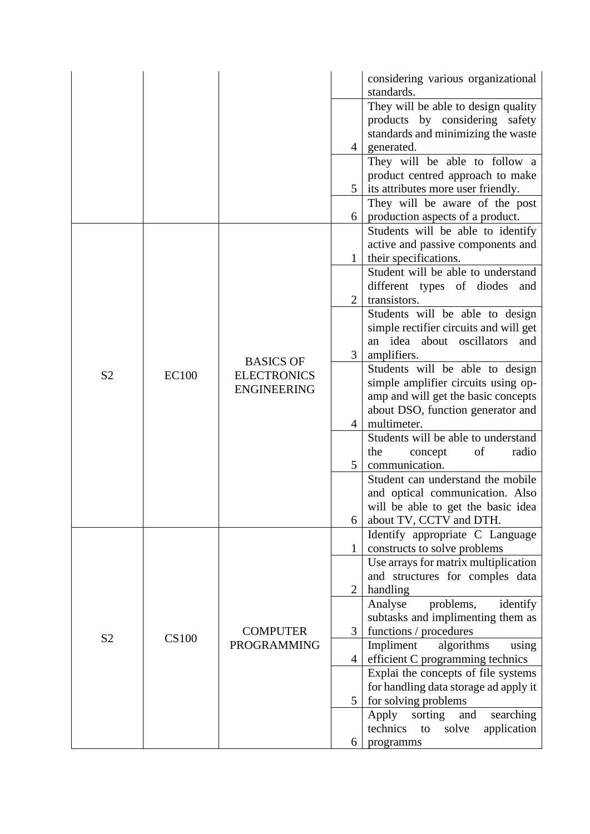|                |              |                                                              |                | considering various organizational<br>standards.                           |
|----------------|--------------|--------------------------------------------------------------|----------------|----------------------------------------------------------------------------|
|                |              |                                                              |                | They will be able to design quality<br>products by considering safety      |
|                |              |                                                              | $\overline{4}$ | standards and minimizing the waste                                         |
|                |              |                                                              |                | generated.<br>They will be able to follow a                                |
|                |              |                                                              |                | product centred approach to make                                           |
|                |              |                                                              | 5 <sup>5</sup> | its attributes more user friendly.                                         |
|                |              |                                                              | 6              | They will be aware of the post<br>production aspects of a product.         |
|                |              |                                                              |                | Students will be able to identify                                          |
|                |              |                                                              |                | active and passive components and                                          |
|                |              |                                                              | $\mathbf{1}$   | their specifications.                                                      |
|                |              |                                                              |                | Student will be able to understand                                         |
|                |              |                                                              |                | different types of diodes and                                              |
|                |              |                                                              | 2              | transistors.                                                               |
|                |              |                                                              |                | Students will be able to design                                            |
|                |              |                                                              |                | simple rectifier circuits and will get<br>an idea about oscillators<br>and |
|                | <b>EC100</b> | <b>BASICS OF</b><br><b>ELECTRONICS</b><br><b>ENGINEERING</b> | 3              | amplifiers.                                                                |
| S <sub>2</sub> |              |                                                              |                | Students will be able to design                                            |
|                |              |                                                              |                | simple amplifier circuits using op-                                        |
|                |              |                                                              |                | amp and will get the basic concepts                                        |
|                |              |                                                              |                | about DSO, function generator and                                          |
|                |              |                                                              | $\overline{4}$ | multimeter.                                                                |
|                |              |                                                              |                | Students will be able to understand<br>the<br>radio<br>of<br>concept       |
|                |              |                                                              | 5              | communication.                                                             |
|                |              |                                                              |                | Student can understand the mobile                                          |
|                |              |                                                              |                | and optical communication. Also                                            |
|                |              |                                                              |                | will be able to get the basic idea                                         |
|                |              |                                                              | 6              | about TV, CCTV and DTH.                                                    |
|                |              |                                                              | $\mathbf{1}$   | Identify appropriate C Language                                            |
|                |              |                                                              |                | constructs to solve problems<br>Use arrays for matrix multiplication       |
|                |              |                                                              |                | and structures for comples data                                            |
|                |              |                                                              | $\overline{2}$ | handling                                                                   |
|                |              |                                                              |                | problems,<br>Analyse<br>identify                                           |
|                |              |                                                              |                | subtasks and implimenting them as                                          |
| S <sub>2</sub> | <b>CS100</b> | <b>COMPUTER</b>                                              | 3              | functions / procedures                                                     |
|                |              | <b>PROGRAMMING</b>                                           |                | Impliment<br>algorithms<br>using                                           |
|                |              |                                                              | 4 <sup>1</sup> | efficient C programming technics<br>Explai the concepts of file systems    |
|                |              |                                                              |                | for handling data storage ad apply it                                      |
|                |              |                                                              | 5              | for solving problems                                                       |
|                |              |                                                              |                | sorting<br>searching<br>Apply<br>and                                       |
|                |              |                                                              |                | technics<br>solve<br>application<br>to                                     |
|                |              |                                                              | 6              | programms                                                                  |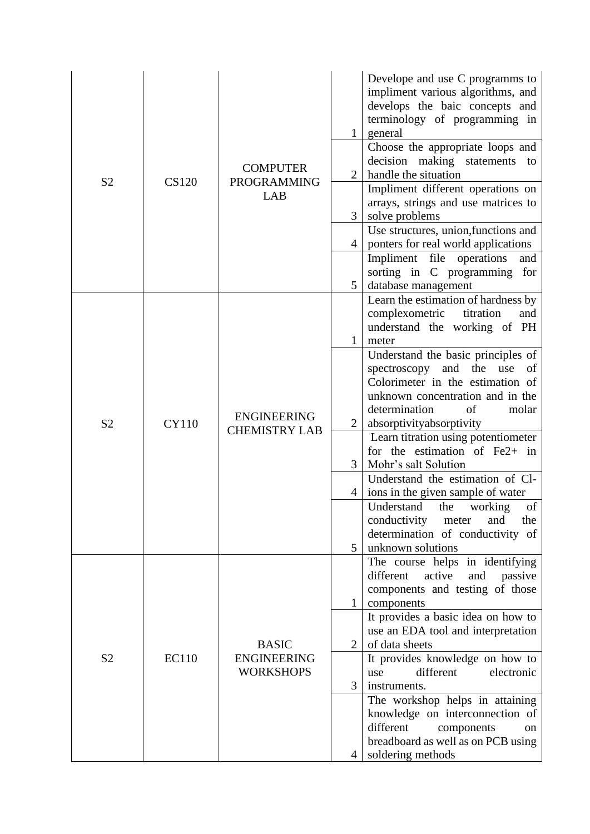| S <sub>2</sub> | <b>CS120</b> | <b>COMPUTER</b><br><b>PROGRAMMING</b><br>LAB           | $\mathbf{1}$<br>$\overline{2}$<br>$\overline{3}$<br>$\overline{4}$<br>5 <sup>5</sup> | Develope and use C programms to<br>impliment various algorithms, and<br>develops the baic concepts and<br>terminology of programming in<br>general<br>Choose the appropriate loops and<br>decision making statements<br>to<br>handle the situation<br>Impliment different operations on<br>arrays, strings and use matrices to<br>solve problems<br>Use structures, union, functions and<br>ponters for real world applications<br>Impliment file operations<br>and<br>sorting in C programming<br>for<br>database management                                                                                                                            |
|----------------|--------------|--------------------------------------------------------|--------------------------------------------------------------------------------------|----------------------------------------------------------------------------------------------------------------------------------------------------------------------------------------------------------------------------------------------------------------------------------------------------------------------------------------------------------------------------------------------------------------------------------------------------------------------------------------------------------------------------------------------------------------------------------------------------------------------------------------------------------|
| S <sub>2</sub> | <b>CY110</b> | <b>ENGINEERING</b><br><b>CHEMISTRY LAB</b>             | $\mathbf{1}$<br>$\overline{2}$<br>3<br>4<br>5                                        | Learn the estimation of hardness by<br>complexometric<br>titration<br>and<br>understand the working of PH<br>meter<br>Understand the basic principles of<br>and<br>the<br>spectroscopy<br>use<br>of<br>Colorimeter in the estimation of<br>unknown concentration and in the<br>determination<br>molar<br>of<br>absorptivityabsorptivity<br>Learn titration using potentiometer<br>for the estimation of $Fe2+$ in<br>Mohr's salt Solution<br>Understand the estimation of Cl-<br>ions in the given sample of water<br>Understand<br>the<br>working<br>of<br>conductivity<br>the<br>meter<br>and<br>determination of conductivity of<br>unknown solutions |
| S <sub>2</sub> | <b>EC110</b> | <b>BASIC</b><br><b>ENGINEERING</b><br><b>WORKSHOPS</b> | $\mathbf{1}$<br>$\overline{2}$<br>3<br>4                                             | The course helps in identifying<br>different<br>active<br>passive<br>and<br>components and testing of those<br>components<br>It provides a basic idea on how to<br>use an EDA tool and interpretation<br>of data sheets<br>It provides knowledge on how to<br>different<br>electronic<br>use<br>instruments.<br>The workshop helps in attaining<br>knowledge on interconnection of<br>different<br>components<br>on<br>breadboard as well as on PCB using<br>soldering methods                                                                                                                                                                           |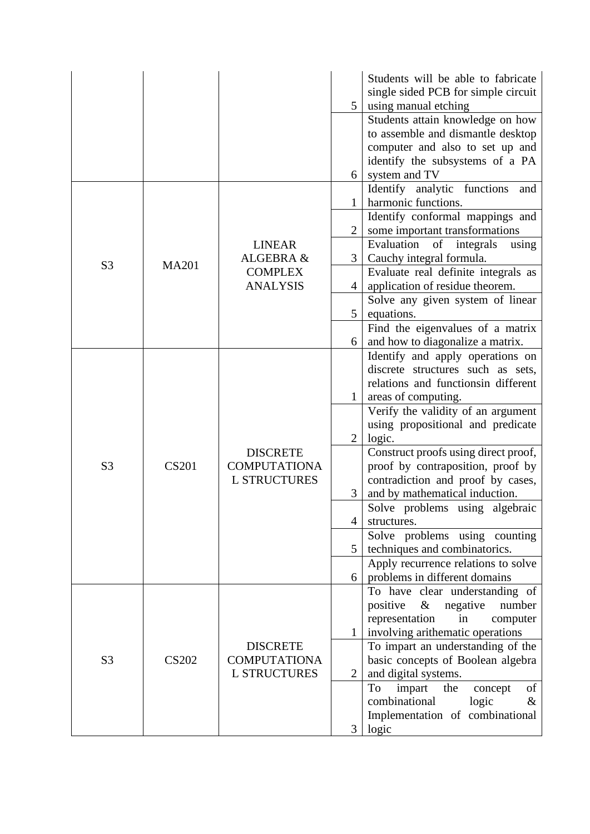|                |              |                     |                                     | Students will be able to fabricate                                   |
|----------------|--------------|---------------------|-------------------------------------|----------------------------------------------------------------------|
|                |              |                     |                                     | single sided PCB for simple circuit                                  |
|                |              |                     | 5                                   | using manual etching                                                 |
|                |              |                     |                                     | Students attain knowledge on how                                     |
|                |              |                     |                                     | to assemble and dismantle desktop                                    |
|                |              |                     |                                     | computer and also to set up and                                      |
|                |              |                     | 6                                   | identify the subsystems of a PA<br>system and TV                     |
|                |              |                     |                                     | Identify analytic functions<br>and                                   |
|                |              |                     | $\mathbf{1}$                        | harmonic functions.                                                  |
|                |              |                     |                                     | Identify conformal mappings and                                      |
|                |              |                     | $\overline{2}$                      | some important transformations                                       |
|                |              | <b>LINEAR</b>       |                                     | Evaluation<br>of integrals<br>using                                  |
| S <sub>3</sub> | <b>MA201</b> | ALGEBRA &           | 3                                   | Cauchy integral formula.                                             |
|                |              | <b>COMPLEX</b>      |                                     | Evaluate real definite integrals as                                  |
|                |              | <b>ANALYSIS</b>     | $\overline{4}$                      | application of residue theorem.                                      |
|                |              |                     |                                     | Solve any given system of linear                                     |
|                |              |                     | 5                                   | equations.                                                           |
|                |              |                     |                                     | Find the eigenvalues of a matrix                                     |
|                |              |                     | 6                                   | and how to diagonalize a matrix.<br>Identify and apply operations on |
|                |              |                     |                                     | discrete structures such as sets,                                    |
|                |              |                     | relations and functionsin different |                                                                      |
|                |              |                     |                                     | areas of computing.                                                  |
|                |              |                     |                                     | Verify the validity of an argument                                   |
|                |              |                     |                                     | using propositional and predicate                                    |
|                |              |                     | 2                                   | logic.                                                               |
|                |              | <b>DISCRETE</b>     |                                     | Construct proofs using direct proof,                                 |
| S <sub>3</sub> | <b>CS201</b> | <b>COMPUTATIONA</b> |                                     | proof by contraposition, proof by                                    |
|                |              | <b>L STRUCTURES</b> |                                     | contradiction and proof by cases,                                    |
|                |              |                     | 3                                   | and by mathematical induction.                                       |
|                |              |                     |                                     | Solve problems using algebraic                                       |
|                |              |                     | 4                                   | structures.                                                          |
|                |              |                     | 5                                   | Solve problems using counting<br>techniques and combinatorics.       |
|                |              |                     |                                     | Apply recurrence relations to solve                                  |
|                |              |                     | 6                                   | problems in different domains                                        |
|                |              |                     |                                     | To have clear understanding of                                       |
|                |              |                     |                                     | positive<br>$\&$<br>negative<br>number                               |
|                |              |                     |                                     | representation<br>in<br>computer                                     |
|                |              |                     |                                     | involving arithematic operations                                     |
|                |              | <b>DISCRETE</b>     |                                     | To impart an understanding of the                                    |
| S <sub>3</sub> | <b>CS202</b> | <b>COMPUTATIONA</b> |                                     | basic concepts of Boolean algebra                                    |
|                |              | <b>L STRUCTURES</b> | $\overline{2}$                      | and digital systems.                                                 |
|                |              |                     |                                     | impart<br>To<br>the<br>of<br>concept                                 |
|                |              |                     |                                     | combinational<br>logic<br>&                                          |
|                |              |                     | 3                                   | Implementation of combinational<br>logic                             |
|                |              |                     |                                     |                                                                      |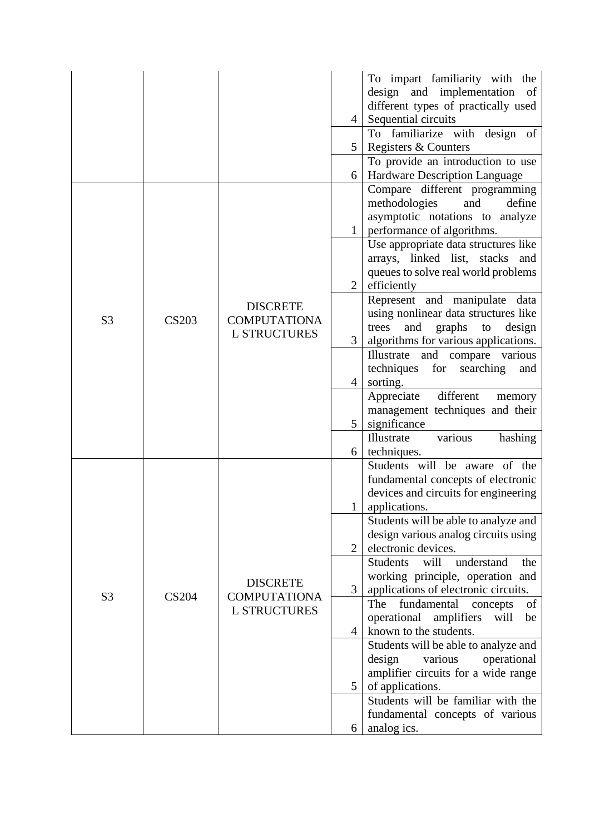|                |              |                                                               | $\overline{4}$ | To impart familiarity with the<br>design and implementation<br>of<br>different types of practically used<br>Sequential circuits<br>To familiarize with design of |
|----------------|--------------|---------------------------------------------------------------|----------------|------------------------------------------------------------------------------------------------------------------------------------------------------------------|
|                |              |                                                               | 5              | Registers & Counters                                                                                                                                             |
|                |              |                                                               | 6              | To provide an introduction to use<br>Hardware Description Language                                                                                               |
|                |              |                                                               |                | Compare different programming<br>methodologies<br>define<br>and<br>asymptotic notations to analyze<br>performance of algorithms.                                 |
| S <sub>3</sub> |              |                                                               | $\overline{2}$ | Use appropriate data structures like<br>arrays, linked list, stacks and<br>queues to solve real world problems<br>efficiently                                    |
|                | <b>CS203</b> | <b>DISCRETE</b><br><b>COMPUTATIONA</b><br><b>L STRUCTURES</b> | 3              | Represent and manipulate data<br>using nonlinear data structures like<br>graphs<br>trees<br>and<br>to<br>design<br>algorithms for various applications.          |
|                |              |                                                               | $\overline{4}$ | Illustrate<br>and compare various<br>techniques<br>for<br>searching<br>and<br>sorting.                                                                           |
|                |              |                                                               | 5 <sup>1</sup> | different<br>Appreciate<br>memory<br>management techniques and their<br>significance                                                                             |
|                |              |                                                               | 6              | various<br>Illustrate<br>hashing<br>techniques.                                                                                                                  |
|                |              |                                                               | $\mathbf{1}$   | Students will be aware of the<br>fundamental concepts of electronic<br>devices and circuits for engineering<br>applications.                                     |
|                |              |                                                               | $\overline{2}$ | Students will be able to analyze and<br>design various analog circuits using<br>electronic devices.                                                              |
| S <sub>3</sub> | <b>CS204</b> | <b>DISCRETE</b><br><b>COMPUTATIONA</b>                        | 3              | <b>Students</b><br>will<br>understand<br>the<br>working principle, operation and<br>applications of electronic circuits.<br>The<br>of                            |
|                |              | <b>L STRUCTURES</b>                                           | $\overline{4}$ | fundamental<br>concepts<br>operational<br>amplifiers<br>will<br>be<br>known to the students.                                                                     |
|                |              |                                                               | 5              | Students will be able to analyze and<br>design<br>various<br>operational<br>amplifier circuits for a wide range<br>of applications.                              |
|                |              |                                                               |                | Students will be familiar with the                                                                                                                               |
|                |              |                                                               | 6              | fundamental concepts of various<br>analog ics.                                                                                                                   |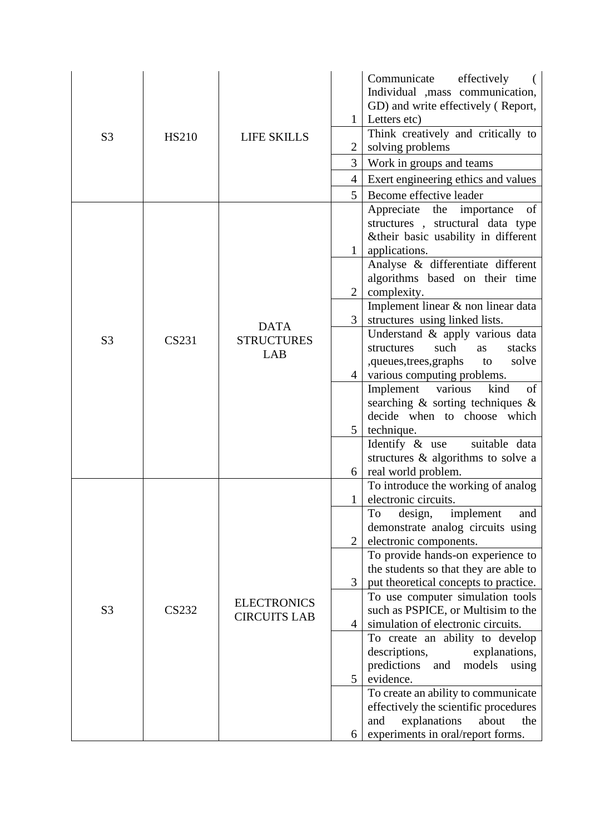| S <sub>3</sub> | <b>HS210</b> | <b>LIFE SKILLS</b>                        | $\mathbf{1}$<br>$\overline{2}$<br>$\overline{3}$<br>$\overline{4}$<br>5                   | Communicate<br>effectively<br>Individual , mass communication,<br>GD) and write effectively (Report,<br>Letters etc)<br>Think creatively and critically to<br>solving problems<br>Work in groups and teams<br>Exert engineering ethics and values<br>Become effective leader                                                                                                                                                                                                                                                                                                                                                                                                        |
|----------------|--------------|-------------------------------------------|-------------------------------------------------------------------------------------------|-------------------------------------------------------------------------------------------------------------------------------------------------------------------------------------------------------------------------------------------------------------------------------------------------------------------------------------------------------------------------------------------------------------------------------------------------------------------------------------------------------------------------------------------------------------------------------------------------------------------------------------------------------------------------------------|
| S <sub>3</sub> | CS231        | <b>DATA</b><br><b>STRUCTURES</b><br>LAB   | $\mathbf{1}$<br>$\overline{2}$<br>3 <sup>1</sup><br>$\overline{4}$<br>5 <sup>1</sup><br>6 | Appreciate the importance<br>of<br>structures, structural data type<br>&their basic usability in different<br>applications.<br>Analyse & differentiate different<br>algorithms based on their time<br>complexity.<br>Implement linear & non linear data<br>structures using linked lists.<br>Understand & apply various data<br>stacks<br>structures<br>such<br><b>as</b><br>,queues,trees,graphs<br>solve<br>to<br>various computing problems.<br>kind<br>Implement various<br>of<br>searching $\&$ sorting techniques $\&$<br>decide when to choose which<br>technique.<br>Identify $\&$ use<br>suitable data<br>structures & algorithms to solve a<br>real world problem.        |
| S <sub>3</sub> | CS232        | <b>ELECTRONICS</b><br><b>CIRCUITS LAB</b> | 1<br>$\overline{2}$<br>3<br>$\overline{4}$<br>5<br>6                                      | To introduce the working of analog<br>electronic circuits.<br>To design, implement and<br>demonstrate analog circuits using<br>electronic components.<br>To provide hands-on experience to<br>the students so that they are able to<br>put theoretical concepts to practice.<br>To use computer simulation tools<br>such as PSPICE, or Multisim to the<br>simulation of electronic circuits.<br>To create an ability to develop<br>descriptions,<br>explanations,<br>predictions<br>models<br>and<br>using<br>evidence.<br>To create an ability to communicate<br>effectively the scientific procedures<br>explanations<br>about<br>and<br>the<br>experiments in oral/report forms. |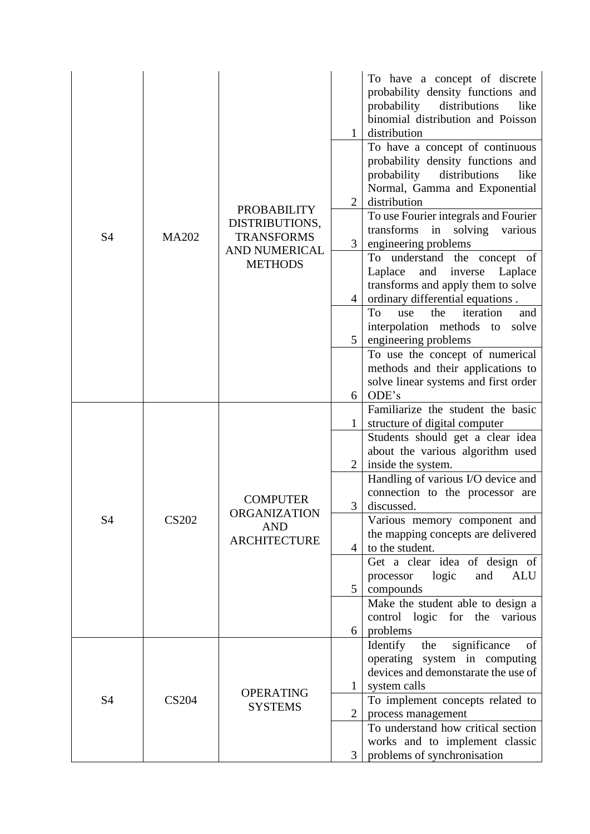|                |              |                                                                             | $\mathbf{1}$   | To have a concept of discrete<br>probability density functions and<br>probability<br>distributions<br>like<br>binomial distribution and Poisson<br>distribution<br>To have a concept of continuous<br>probability density functions and |
|----------------|--------------|-----------------------------------------------------------------------------|----------------|-----------------------------------------------------------------------------------------------------------------------------------------------------------------------------------------------------------------------------------------|
|                |              | <b>PROBABILITY</b>                                                          | 2              | probability<br>distributions<br>like<br>Normal, Gamma and Exponential<br>distribution                                                                                                                                                   |
| <b>S4</b>      | <b>MA202</b> | DISTRIBUTIONS,<br><b>TRANSFORMS</b><br><b>AND NUMERICAL</b>                 | 3              | To use Fourier integrals and Fourier<br>transforms<br>in solving various<br>engineering problems                                                                                                                                        |
|                |              | <b>METHODS</b>                                                              |                | To understand the concept of<br>and<br>Laplace<br>inverse<br>Laplace<br>transforms and apply them to solve                                                                                                                              |
|                |              |                                                                             | $\overline{4}$ | ordinary differential equations.<br>To<br>iteration<br>the<br>use<br>and                                                                                                                                                                |
|                |              |                                                                             |                | interpolation methods to<br>solve                                                                                                                                                                                                       |
|                |              |                                                                             | 5 <sup>1</sup> | engineering problems                                                                                                                                                                                                                    |
|                |              |                                                                             |                | To use the concept of numerical                                                                                                                                                                                                         |
|                |              |                                                                             |                | methods and their applications to                                                                                                                                                                                                       |
|                |              |                                                                             |                | solve linear systems and first order                                                                                                                                                                                                    |
|                |              |                                                                             | 6              | ODE's                                                                                                                                                                                                                                   |
|                | <b>CS202</b> | <b>COMPUTER</b><br><b>ORGANIZATION</b><br><b>AND</b><br><b>ARCHITECTURE</b> |                | Familiarize the student the basic                                                                                                                                                                                                       |
|                |              |                                                                             |                | structure of digital computer                                                                                                                                                                                                           |
|                |              |                                                                             |                | Students should get a clear idea<br>about the various algorithm used                                                                                                                                                                    |
|                |              |                                                                             | 2              | inside the system.                                                                                                                                                                                                                      |
|                |              |                                                                             |                | Handling of various I/O device and                                                                                                                                                                                                      |
|                |              |                                                                             |                | connection to the processor are                                                                                                                                                                                                         |
|                |              |                                                                             | 3              | discussed.                                                                                                                                                                                                                              |
| S <sub>4</sub> |              |                                                                             |                | Various memory component and                                                                                                                                                                                                            |
|                |              |                                                                             |                | the mapping concepts are delivered                                                                                                                                                                                                      |
|                |              |                                                                             | $\overline{4}$ | to the student.                                                                                                                                                                                                                         |
|                |              |                                                                             |                | Get a clear idea of design of                                                                                                                                                                                                           |
|                |              |                                                                             | 5              | logic<br>and<br>ALU<br>processor<br>compounds                                                                                                                                                                                           |
|                |              |                                                                             |                | Make the student able to design a                                                                                                                                                                                                       |
|                |              |                                                                             |                | control logic for the<br>various                                                                                                                                                                                                        |
|                |              |                                                                             | 6              | problems                                                                                                                                                                                                                                |
|                |              |                                                                             |                | significance<br>Identify<br>the<br>of                                                                                                                                                                                                   |
|                |              |                                                                             |                | system in computing<br>operating                                                                                                                                                                                                        |
|                |              |                                                                             |                | devices and demonstarate the use of                                                                                                                                                                                                     |
|                |              | <b>OPERATING</b>                                                            | 1              | system calls                                                                                                                                                                                                                            |
| <b>S4</b>      | <b>CS204</b> | <b>SYSTEMS</b>                                                              |                | To implement concepts related to                                                                                                                                                                                                        |
|                |              |                                                                             | $\overline{2}$ | process management                                                                                                                                                                                                                      |
|                |              |                                                                             |                | To understand how critical section                                                                                                                                                                                                      |
|                |              |                                                                             | 3              | works and to implement classic<br>problems of synchronisation                                                                                                                                                                           |
|                |              |                                                                             |                |                                                                                                                                                                                                                                         |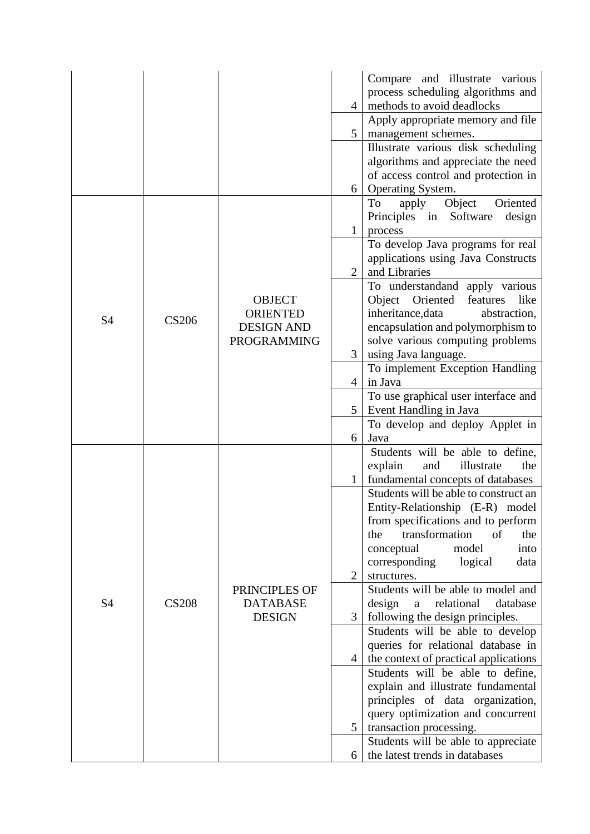|           |              |                    |                | Compare and illustrate various                                        |
|-----------|--------------|--------------------|----------------|-----------------------------------------------------------------------|
|           |              |                    |                | process scheduling algorithms and                                     |
|           |              |                    | $\overline{4}$ | methods to avoid deadlocks                                            |
|           |              |                    |                | Apply appropriate memory and file                                     |
|           |              |                    | 5 <sup>5</sup> | management schemes.                                                   |
|           |              |                    |                | Illustrate various disk scheduling                                    |
|           |              |                    |                | algorithms and appreciate the need                                    |
|           |              |                    |                | of access control and protection in                                   |
|           |              |                    | 6              | Operating System.                                                     |
|           |              |                    |                | Object<br>Oriented<br>To<br>apply                                     |
|           |              |                    |                | Principles in Software<br>design                                      |
|           |              |                    | 1              | process                                                               |
|           |              |                    |                | To develop Java programs for real                                     |
|           |              |                    |                | applications using Java Constructs                                    |
|           |              |                    | $\overline{2}$ | and Libraries                                                         |
|           |              |                    |                | To understandand apply various                                        |
|           |              | <b>OBJECT</b>      |                | Object Oriented<br>features<br>like                                   |
|           |              | <b>ORIENTED</b>    |                | inheritance, data<br>abstraction,                                     |
| <b>S4</b> | <b>CS206</b> | <b>DESIGN AND</b>  |                | encapsulation and polymorphism to                                     |
|           |              | <b>PROGRAMMING</b> |                | solve various computing problems                                      |
|           |              |                    | 3              | using Java language.                                                  |
|           |              |                    |                | To implement Exception Handling                                       |
|           |              |                    | $\overline{4}$ | in Java                                                               |
|           |              |                    |                | To use graphical user interface and                                   |
|           |              |                    | 5              | Event Handling in Java                                                |
|           |              |                    |                | To develop and deploy Applet in                                       |
|           |              |                    | 6              | Java                                                                  |
|           |              |                    |                | Students will be able to define,                                      |
|           |              |                    |                | illustrate<br>explain<br>and<br>the                                   |
|           |              |                    |                | fundamental concepts of databases                                     |
|           |              |                    |                | Students will be able to construct an                                 |
|           |              |                    |                | Entity-Relationship (E-R) model                                       |
|           |              |                    |                | from specifications and to perform                                    |
|           |              |                    |                | transformation<br>of<br>the<br>the                                    |
|           |              |                    |                | conceptual<br>model<br>into                                           |
|           |              |                    |                | corresponding<br>logical<br>data                                      |
|           |              |                    | $\overline{2}$ | structures.                                                           |
|           |              | PRINCIPLES OF      |                | Students will be able to model and                                    |
| <b>S4</b> | <b>CS208</b> | <b>DATABASE</b>    |                | design<br>relational<br>database<br>$\mathbf{a}$                      |
|           |              | <b>DESIGN</b>      | 3              | following the design principles.                                      |
|           |              |                    |                | Students will be able to develop                                      |
|           |              |                    |                | queries for relational database in                                    |
|           |              |                    | 4              | the context of practical applications                                 |
|           |              |                    |                | Students will be able to define,                                      |
|           |              |                    |                | explain and illustrate fundamental                                    |
|           |              |                    |                | principles of data organization,                                      |
|           |              |                    | 5              | query optimization and concurrent                                     |
|           |              |                    |                | transaction processing.                                               |
|           |              |                    |                | Students will be able to appreciate<br>the latest trends in databases |
|           |              |                    | 6              |                                                                       |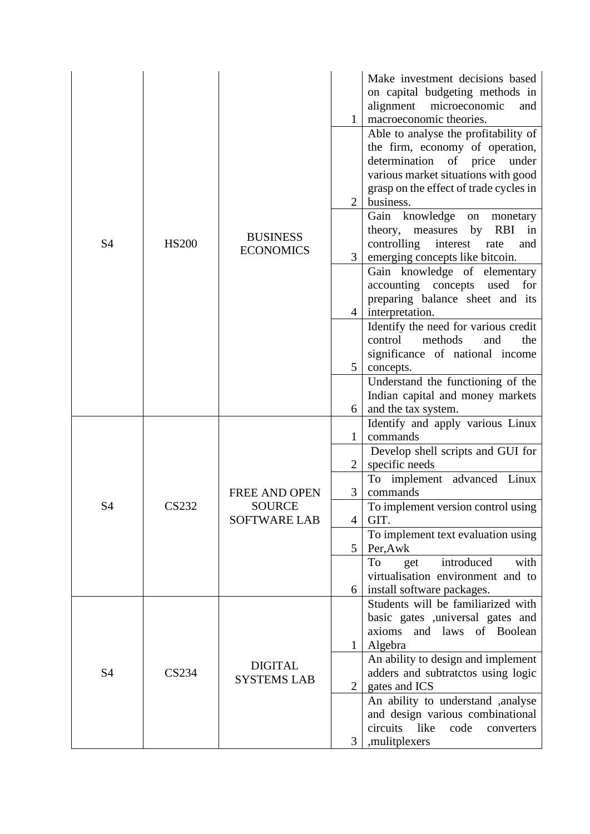| S <sub>4</sub> |              | <b>BUSINESS</b><br><b>ECONOMICS</b>                          | $\mathbf{1}$        | Make investment decisions based<br>on capital budgeting methods in<br>alignment<br>microeconomic<br>and<br>macroeconomic theories.<br>Able to analyse the profitability of<br>the firm, economy of operation,<br>determination<br>of price<br>under<br>various market situations with good<br>grasp on the effect of trade cycles in |
|----------------|--------------|--------------------------------------------------------------|---------------------|--------------------------------------------------------------------------------------------------------------------------------------------------------------------------------------------------------------------------------------------------------------------------------------------------------------------------------------|
|                | <b>HS200</b> |                                                              | 2<br>$\overline{3}$ | business.<br>Gain knowledge<br>on<br>monetary<br>theory, measures<br>by<br>RBI in<br>controlling<br>interest<br>rate<br>and<br>emerging concepts like bitcoin.<br>Gain knowledge of elementary                                                                                                                                       |
|                |              |                                                              | 4                   | accounting concepts<br>used<br>for<br>preparing balance sheet and its<br>interpretation.                                                                                                                                                                                                                                             |
|                |              |                                                              | 5                   | Identify the need for various credit<br>methods<br>control<br>the<br>and<br>significance of national income<br>concepts.                                                                                                                                                                                                             |
|                |              |                                                              | 6                   | Understand the functioning of the<br>Indian capital and money markets<br>and the tax system.                                                                                                                                                                                                                                         |
|                | <b>CS232</b> | <b>FREE AND OPEN</b><br><b>SOURCE</b><br><b>SOFTWARE LAB</b> | $\mathbf{1}$        | Identify and apply various Linux<br>commands                                                                                                                                                                                                                                                                                         |
|                |              |                                                              | $\overline{2}$      | Develop shell scripts and GUI for<br>specific needs                                                                                                                                                                                                                                                                                  |
|                |              |                                                              | 3                   | To implement advanced Linux<br>commands                                                                                                                                                                                                                                                                                              |
| S <sub>4</sub> |              |                                                              | 4                   | To implement version control using<br>GIT.                                                                                                                                                                                                                                                                                           |
|                |              |                                                              | 5                   | To implement text evaluation using<br>Per, Awk                                                                                                                                                                                                                                                                                       |
|                |              |                                                              | 6                   | introduced<br>To<br>with<br>get<br>virtualisation environment and to<br>install software packages.                                                                                                                                                                                                                                   |
|                |              |                                                              |                     | Students will be familiarized with                                                                                                                                                                                                                                                                                                   |
|                |              |                                                              |                     | basic gates , universal gates and<br>and laws of Boolean<br>axioms                                                                                                                                                                                                                                                                   |
|                |              |                                                              | $\mathbf{1}$        | Algebra                                                                                                                                                                                                                                                                                                                              |
| <b>S4</b>      | <b>CS234</b> | <b>DIGITAL</b><br><b>SYSTEMS LAB</b>                         | $\overline{2}$      | An ability to design and implement<br>adders and subtratctos using logic<br>gates and ICS                                                                                                                                                                                                                                            |
|                |              |                                                              |                     | An ability to understand ,analyse<br>and design various combinational                                                                                                                                                                                                                                                                |
|                |              |                                                              | 3                   | like<br>circuits<br>code<br>converters<br>,mulitplexers                                                                                                                                                                                                                                                                              |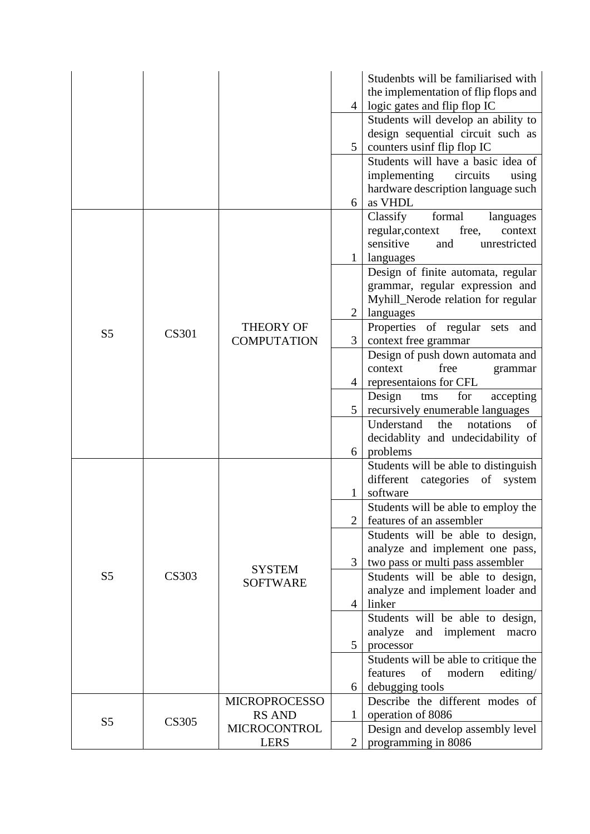|                |              |                      |                | Studenbts will be familiarised with<br>the implementation of flip flops and |
|----------------|--------------|----------------------|----------------|-----------------------------------------------------------------------------|
|                |              |                      | $\overline{4}$ | logic gates and flip flop IC                                                |
|                |              |                      |                | Students will develop an ability to                                         |
|                |              |                      |                | design sequential circuit such as                                           |
|                |              |                      | 5 <sup>1</sup> | counters usinf flip flop IC                                                 |
|                |              |                      |                | Students will have a basic idea of                                          |
|                |              |                      |                | implementing<br>circuits<br>using                                           |
|                |              |                      |                | hardware description language such                                          |
|                |              |                      | 6              | as VHDL                                                                     |
|                |              |                      |                | formal<br>Classify<br>languages                                             |
|                |              |                      |                | regular, context<br>free,<br>context                                        |
|                |              |                      |                | sensitive<br>and<br>unrestricted                                            |
|                |              |                      | $\mathbf{1}$   | languages                                                                   |
|                |              |                      |                | Design of finite automata, regular<br>grammar, regular expression and       |
|                |              |                      |                | Myhill_Nerode relation for regular                                          |
|                |              |                      | 2              | languages                                                                   |
|                |              | <b>THEORY OF</b>     |                | Properties of regular sets and                                              |
| S <sub>5</sub> | <b>CS301</b> | <b>COMPUTATION</b>   | 3              | context free grammar                                                        |
|                |              |                      |                | Design of push down automata and                                            |
|                |              |                      |                | free<br>context<br>grammar                                                  |
|                |              |                      | $\overline{4}$ | representaions for CFL                                                      |
|                |              |                      |                | Design<br>for<br>accepting<br>tms                                           |
|                |              |                      | $5^{\circ}$    | recursively enumerable languages                                            |
|                |              |                      |                | of<br>Understand<br>notations<br>the                                        |
|                |              |                      |                | decidablity and undecidability of                                           |
|                |              |                      | 6              | problems                                                                    |
|                |              |                      |                | Students will be able to distinguish                                        |
|                |              |                      |                | different<br>categories of system                                           |
|                |              |                      | 1              | software                                                                    |
|                |              |                      |                | Students will be able to employ the                                         |
|                |              |                      | $\overline{2}$ | features of an assembler                                                    |
|                |              |                      |                | Students will be able to design,                                            |
|                |              |                      |                | analyze and implement one pass,                                             |
|                |              | <b>SYSTEM</b>        | 3 <sup>1</sup> | two pass or multi pass assembler                                            |
| S <sub>5</sub> | <b>CS303</b> | <b>SOFTWARE</b>      |                | Students will be able to design,                                            |
|                |              |                      | $\overline{4}$ | analyze and implement loader and<br>linker                                  |
|                |              |                      |                | Students will be able to design,                                            |
|                |              |                      |                | analyze<br>and implement<br>macro                                           |
|                |              |                      | $5^{\circ}$    | processor                                                                   |
|                |              |                      |                | Students will be able to critique the                                       |
|                |              |                      |                | modern<br>features<br>of<br>editing/                                        |
|                |              |                      | 6              | debugging tools                                                             |
|                |              | <b>MICROPROCESSO</b> |                | Describe the different modes of                                             |
|                |              | <b>RS AND</b>        | 1              | operation of 8086                                                           |
| S <sub>5</sub> | CS305        | <b>MICROCONTROL</b>  |                | Design and develop assembly level                                           |
|                |              | <b>LERS</b>          | $\overline{2}$ | programming in 8086                                                         |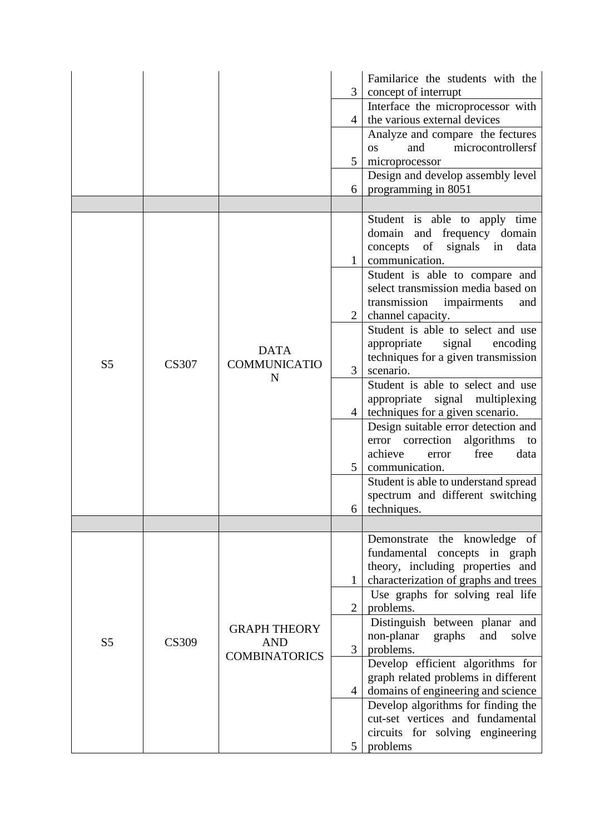|                |              |                                                           | 3                   | Familarice the students with the<br>concept of interrupt                                                                                                                                                                                |
|----------------|--------------|-----------------------------------------------------------|---------------------|-----------------------------------------------------------------------------------------------------------------------------------------------------------------------------------------------------------------------------------------|
|                |              |                                                           | $\overline{4}$      | Interface the microprocessor with<br>the various external devices                                                                                                                                                                       |
|                |              |                                                           | 5                   | Analyze and compare the fectures<br>microcontrollersf<br>and<br><b>OS</b><br>microprocessor                                                                                                                                             |
|                |              |                                                           |                     | Design and develop assembly level                                                                                                                                                                                                       |
|                |              |                                                           | 6                   | programming in 8051                                                                                                                                                                                                                     |
| S <sub>5</sub> |              | <b>DATA</b><br><b>COMMUNICATIO</b><br>N                   | $\mathbf{1}$        | Student is able to apply time<br>domain and frequency domain<br>of<br>signals<br>concepts<br>data<br>in<br>communication.<br>Student is able to compare and<br>select transmission media based on<br>transmission<br>impairments<br>and |
|                | <b>CS307</b> |                                                           | $\overline{2}$<br>3 | channel capacity.<br>Student is able to select and use<br>appropriate<br>signal<br>encoding<br>techniques for a given transmission<br>scenario.                                                                                         |
|                |              |                                                           | $\overline{4}$      | Student is able to select and use<br>appropriate signal multiplexing<br>techniques for a given scenario.                                                                                                                                |
|                |              |                                                           | 5                   | Design suitable error detection and<br>error correction<br>algorithms to<br>achieve<br>free<br>data<br>error<br>communication.                                                                                                          |
|                |              |                                                           |                     | Student is able to understand spread<br>spectrum and different switching<br>$6$   techniques.                                                                                                                                           |
|                |              |                                                           |                     |                                                                                                                                                                                                                                         |
|                |              |                                                           |                     | Demonstrate the knowledge of<br>fundamental concepts in graph<br>theory, including properties and<br>characterization of graphs and trees                                                                                               |
|                |              |                                                           | $\overline{2}$      | Use graphs for solving real life<br>problems.                                                                                                                                                                                           |
| S <sub>5</sub> | <b>CS309</b> | <b>GRAPH THEORY</b><br><b>AND</b><br><b>COMBINATORICS</b> | 3                   | Distinguish between planar and<br>non-planar<br>and<br>graphs<br>solve<br>problems.                                                                                                                                                     |
|                |              |                                                           | $\overline{4}$      | Develop efficient algorithms for<br>graph related problems in different<br>domains of engineering and science                                                                                                                           |
|                |              |                                                           | 5                   | Develop algorithms for finding the<br>cut-set vertices and fundamental<br>circuits for solving engineering<br>problems                                                                                                                  |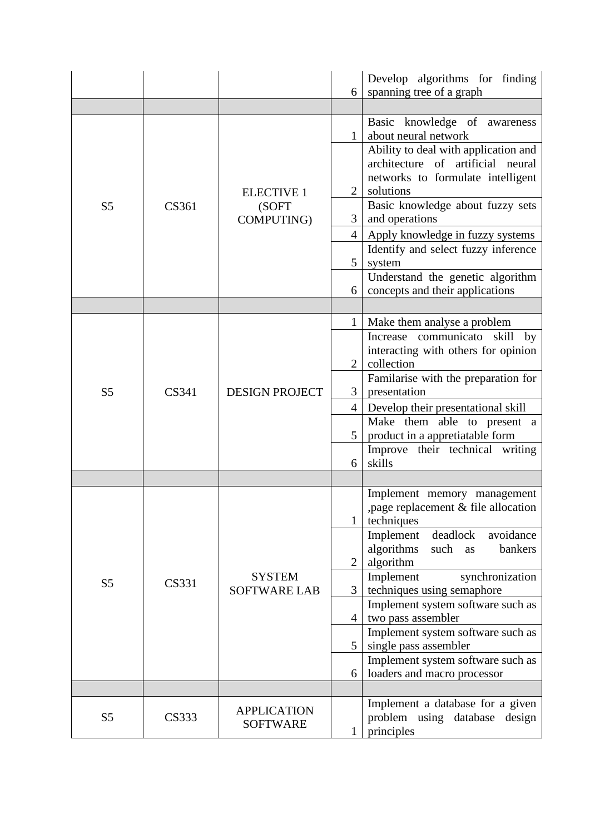|                |              |                       | 6              | Develop algorithms for finding<br>spanning tree of a graph                |
|----------------|--------------|-----------------------|----------------|---------------------------------------------------------------------------|
|                |              |                       |                |                                                                           |
|                |              |                       | $\mathbf{1}$   | Basic knowledge of awareness<br>about neural network                      |
|                |              |                       |                | Ability to deal with application and<br>architecture of artificial neural |
|                |              | <b>ELECTIVE 1</b>     | $\overline{2}$ | networks to formulate intelligent<br>solutions                            |
| S <sub>5</sub> | <b>CS361</b> | (SOFT<br>COMPUTING)   | 3              | Basic knowledge about fuzzy sets<br>and operations                        |
|                |              |                       | $\overline{4}$ | Apply knowledge in fuzzy systems                                          |
|                |              |                       | 5              | Identify and select fuzzy inference<br>system                             |
|                |              |                       | 6              | Understand the genetic algorithm<br>concepts and their applications       |
|                |              |                       |                |                                                                           |
|                |              |                       | $\mathbf{1}$   | Make them analyse a problem                                               |
|                | CS341        | <b>DESIGN PROJECT</b> |                | Increase communicato skill<br>by                                          |
|                |              |                       | $\overline{2}$ | interacting with others for opinion<br>collection                         |
| S <sub>5</sub> |              |                       | $\mathfrak{Z}$ | Familarise with the preparation for<br>presentation                       |
|                |              |                       | $\overline{4}$ | Develop their presentational skill                                        |
|                |              |                       |                | Make them able to present a                                               |
|                |              |                       | $5^{\circ}$    | product in a appretiatable form                                           |
|                |              |                       | 6              | Improve their technical writing<br>skills                                 |
|                |              |                       |                |                                                                           |
|                |              |                       |                | Implement memory management<br>, page replacement & file allocation       |
|                |              |                       |                | techniques                                                                |
|                |              |                       |                | Implement<br>deadlock<br>avoidance<br>algorithms<br>bankers<br>such<br>as |
|                |              |                       | $\overline{2}$ | algorithm                                                                 |
|                |              | <b>SYSTEM</b>         |                | synchronization<br>Implement                                              |
| S <sub>5</sub> | CS331        | <b>SOFTWARE LAB</b>   | 3              | techniques using semaphore                                                |
|                |              |                       |                | Implement system software such as                                         |
|                |              |                       | $\overline{4}$ | two pass assembler<br>Implement system software such as                   |
|                |              |                       | $5^{\circ}$    | single pass assembler                                                     |
|                |              |                       |                | Implement system software such as                                         |
|                |              |                       | 6              | loaders and macro processor                                               |
|                |              |                       |                |                                                                           |
|                |              | <b>APPLICATION</b>    |                | Implement a database for a given                                          |
| S <sub>5</sub> | <b>CS333</b> | <b>SOFTWARE</b>       | $\mathbf{1}$   | problem using database<br>design<br>principles                            |
|                |              |                       |                |                                                                           |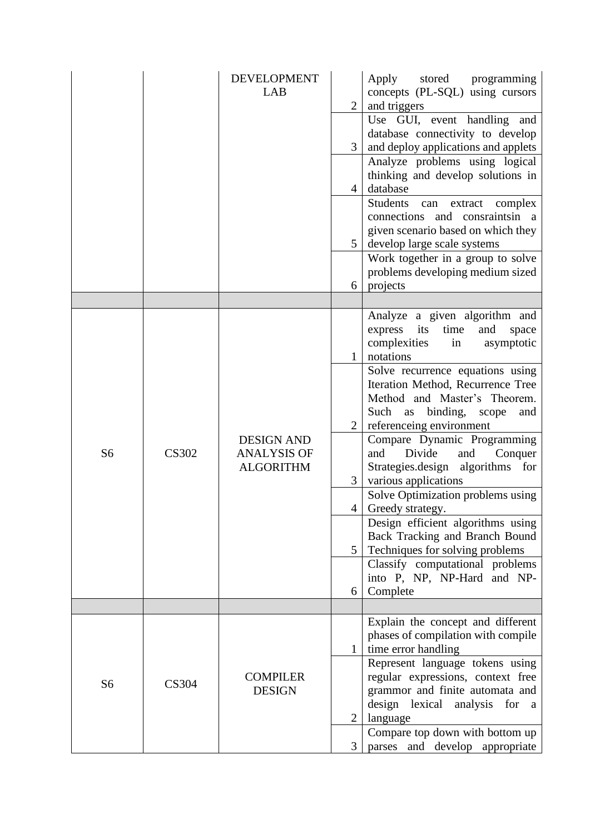|                |              | <b>DEVELOPMENT</b><br>LAB                                   | $\overline{2}$<br>3<br>$\overline{4}$<br>$5^{\circ}$            | stored programming<br>Apply<br>concepts (PL-SQL) using cursors<br>and triggers<br>Use GUI, event handling and<br>database connectivity to develop<br>and deploy applications and applets<br>Analyze problems using logical<br>thinking and develop solutions in<br>database<br>Students can<br>extract complex<br>connections and consraints in a<br>given scenario based on which they<br>develop large scale systems                                                                                                                                                                                                                                                                 |
|----------------|--------------|-------------------------------------------------------------|-----------------------------------------------------------------|----------------------------------------------------------------------------------------------------------------------------------------------------------------------------------------------------------------------------------------------------------------------------------------------------------------------------------------------------------------------------------------------------------------------------------------------------------------------------------------------------------------------------------------------------------------------------------------------------------------------------------------------------------------------------------------|
|                |              |                                                             | 6                                                               | Work together in a group to solve<br>problems developing medium sized<br>projects                                                                                                                                                                                                                                                                                                                                                                                                                                                                                                                                                                                                      |
| S <sub>6</sub> | <b>CS302</b> | <b>DESIGN AND</b><br><b>ANALYSIS OF</b><br><b>ALGORITHM</b> | $\mathbf{1}$<br>2<br>3<br>$\overline{4}$<br>5 <sup>5</sup><br>6 | Analyze a given algorithm and<br>its<br>time<br>express<br>and<br>space<br>complexities<br>in<br>asymptotic<br>notations<br>Solve recurrence equations using<br>Iteration Method, Recurrence Tree<br>Method and Master's Theorem.<br>as binding,<br>Such<br>scope<br>and<br>referenceing environment<br>Compare Dynamic Programming<br>and<br>Divide<br>Conquer<br>and<br>algorithms for<br>Strategies.design<br>various applications<br>Solve Optimization problems using<br>Greedy strategy.<br>Design efficient algorithms using<br>Back Tracking and Branch Bound<br>Techniques for solving problems<br>Classify computational problems<br>into P, NP, NP-Hard and NP-<br>Complete |
|                |              |                                                             |                                                                 | Explain the concept and different                                                                                                                                                                                                                                                                                                                                                                                                                                                                                                                                                                                                                                                      |
| S <sub>6</sub> | <b>CS304</b> | <b>COMPILER</b><br><b>DESIGN</b>                            | $\mathbf{1}$<br>$\overline{2}$<br>3                             | phases of compilation with compile<br>time error handling<br>Represent language tokens using<br>regular expressions, context free<br>grammor and finite automata and<br>design lexical analysis for<br><sub>a</sub><br>language<br>Compare top down with bottom up<br>and develop appropriate<br>parses                                                                                                                                                                                                                                                                                                                                                                                |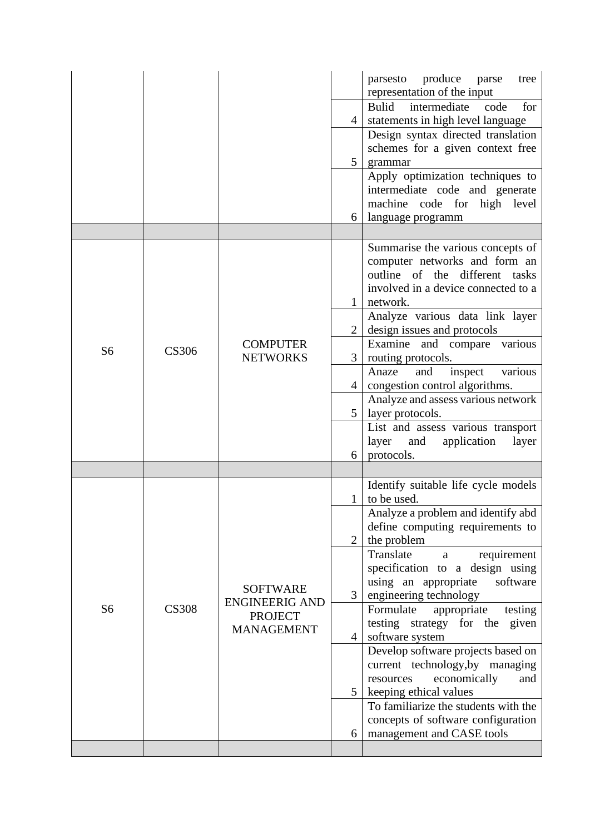|                |              |                                     |                | parsesto produce parse<br>tree<br>representation of the input    |
|----------------|--------------|-------------------------------------|----------------|------------------------------------------------------------------|
|                |              |                                     |                | Bulid<br>intermediate<br>for<br>code                             |
|                |              |                                     | $\overline{4}$ | statements in high level language                                |
|                |              |                                     |                | Design syntax directed translation                               |
|                |              |                                     | 5 <sup>1</sup> | schemes for a given context free<br>grammar                      |
|                |              |                                     |                | Apply optimization techniques to                                 |
|                |              |                                     |                | intermediate code and generate                                   |
|                |              |                                     |                | machine code for high level                                      |
|                |              |                                     | 6              | language programm                                                |
|                |              |                                     |                |                                                                  |
|                |              |                                     |                | Summarise the various concepts of                                |
|                |              |                                     |                | computer networks and form an                                    |
|                |              |                                     |                | outline of the different tasks                                   |
|                |              |                                     |                | involved in a device connected to a                              |
|                |              |                                     |                | network.                                                         |
|                |              |                                     | $\overline{2}$ | Analyze various data link layer<br>design issues and protocols   |
|                |              | <b>COMPUTER</b>                     |                | Examine and compare various                                      |
| S <sub>6</sub> | <b>CS306</b> | <b>NETWORKS</b>                     | 3              | routing protocols.                                               |
|                |              |                                     |                | various<br>inspect<br>Anaze<br>and                               |
|                |              |                                     | 4              | congestion control algorithms.                                   |
|                |              |                                     |                | Analyze and assess various network                               |
|                |              |                                     | 5 <sup>5</sup> | layer protocols.                                                 |
|                |              |                                     |                | List and assess various transport                                |
|                |              |                                     |                | layer<br>application<br>and<br>layer                             |
|                |              |                                     | 6              | protocols.                                                       |
|                |              |                                     |                | Identify suitable life cycle models                              |
|                |              |                                     | $\mathbf{1}$   | to be used.                                                      |
|                |              |                                     |                | Analyze a problem and identify abd                               |
|                |              |                                     |                | define computing requirements to                                 |
|                |              |                                     | $\overline{2}$ | the problem                                                      |
|                |              |                                     |                | Translate<br>requirement<br>a<br>specification to a design using |
|                |              |                                     |                | using an appropriate<br>software                                 |
|                |              | <b>SOFTWARE</b>                     | $\overline{3}$ | engineering technology                                           |
| S <sub>6</sub> | <b>CS308</b> | <b>ENGINEERIG AND</b>               |                | Formulate<br>appropriate<br>testing                              |
|                |              | <b>PROJECT</b><br><b>MANAGEMENT</b> |                | testing strategy for the given                                   |
|                |              |                                     | $\overline{4}$ | software system                                                  |
|                |              |                                     |                | Develop software projects based on                               |
|                |              |                                     |                | current technology, by managing                                  |
|                |              |                                     | 5              | economically<br>resources<br>and                                 |
|                |              |                                     |                | keeping ethical values<br>To familiarize the students with the   |
|                |              |                                     |                | concepts of software configuration                               |
|                |              |                                     | 6              | management and CASE tools                                        |
|                |              |                                     |                |                                                                  |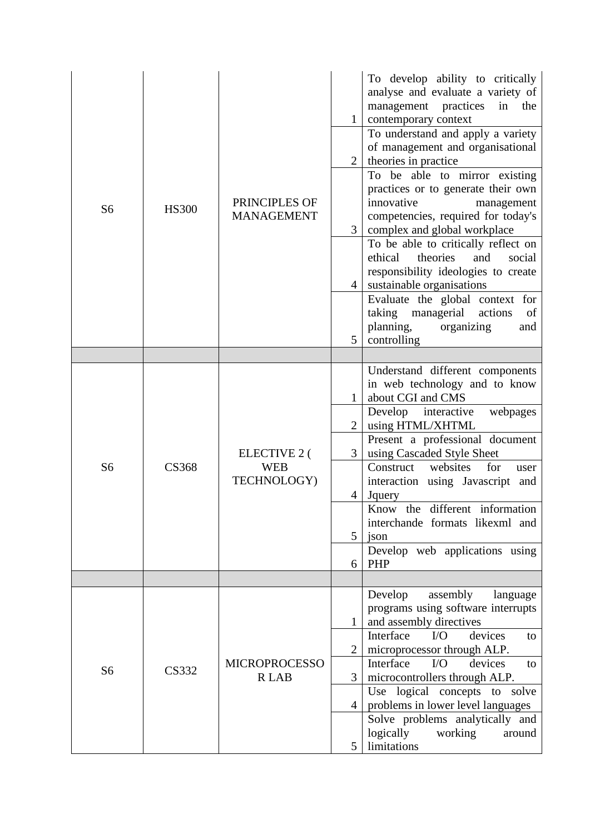| S <sub>6</sub> | <b>HS300</b> | PRINCIPLES OF<br><b>MANAGEMENT</b>               | $\mathbf{1}$<br>$\overline{2}$<br>3<br>$\overline{4}$<br>5 <sup>1</sup> | To develop ability to critically<br>analyse and evaluate a variety of<br>management practices<br>in<br>the<br>contemporary context<br>To understand and apply a variety<br>of management and organisational<br>theories in practice<br>To be able to mirror existing<br>practices or to generate their own<br>innovative<br>management<br>competencies, required for today's<br>complex and global workplace<br>To be able to critically reflect on<br>ethical<br>theories<br>and<br>social<br>responsibility ideologies to create<br>sustainable organisations<br>Evaluate the global context for<br>taking managerial actions<br>of<br>planning,<br>organizing<br>and<br>controlling |
|----------------|--------------|--------------------------------------------------|-------------------------------------------------------------------------|----------------------------------------------------------------------------------------------------------------------------------------------------------------------------------------------------------------------------------------------------------------------------------------------------------------------------------------------------------------------------------------------------------------------------------------------------------------------------------------------------------------------------------------------------------------------------------------------------------------------------------------------------------------------------------------|
| S <sub>6</sub> | <b>CS368</b> | <b>ELECTIVE 2 (</b><br><b>WEB</b><br>TECHNOLOGY) | 1<br>$\overline{2}$<br>3<br>$\overline{4}$<br>5<br>6                    | Understand different components<br>in web technology and to know<br>about CGI and CMS<br>Develop interactive<br>webpages<br>using HTML/XHTML<br>Present a professional document<br>using Cascaded Style Sheet<br>Construct<br>websites<br>for<br>user<br>interaction using Javascript and<br>Jquery<br>Know the different information<br>interchande formats likexml and<br>json<br>Develop web applications using<br>PHP                                                                                                                                                                                                                                                              |
| S <sub>6</sub> | <b>CS332</b> | <b>MICROPROCESSO</b><br><b>RLAB</b>              | $\mathbf{1}$<br>$\overline{2}$<br>3<br>$\overline{4}$<br>5              | Develop<br>assembly<br>language<br>programs using software interrupts<br>and assembly directives<br>Interface<br>$\rm LO$<br>devices<br>to<br>microprocessor through ALP.<br>Interface<br>$VO$<br>devices<br>to<br>microcontrollers through ALP.<br>Use logical concepts to solve<br>problems in lower level languages<br>Solve problems analytically and<br>logically<br>working<br>around<br>limitations                                                                                                                                                                                                                                                                             |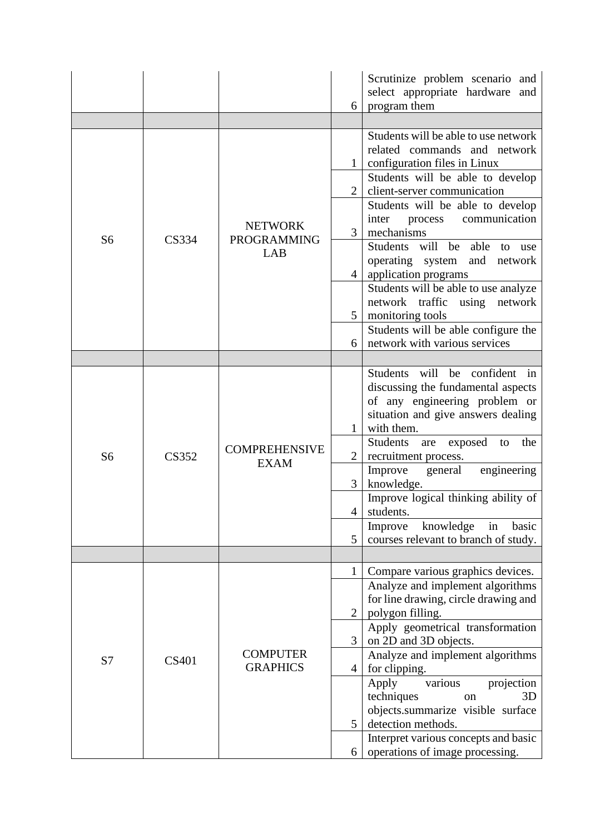|                |              |                                             | 6                                   | Scrutinize problem scenario and<br>select appropriate hardware and<br>program them                                                                                                                                                                                                 |
|----------------|--------------|---------------------------------------------|-------------------------------------|------------------------------------------------------------------------------------------------------------------------------------------------------------------------------------------------------------------------------------------------------------------------------------|
|                |              |                                             |                                     |                                                                                                                                                                                                                                                                                    |
|                |              |                                             | 2                                   | Students will be able to use network<br>related commands and network<br>configuration files in Linux<br>Students will be able to develop<br>client-server communication<br>Students will be able to develop<br>communication<br>inter<br>process                                   |
| S <sub>6</sub> | <b>CS334</b> | <b>NETWORK</b><br><b>PROGRAMMING</b><br>LAB | 3<br>$\overline{4}$                 | mechanisms<br>Students will<br>be<br>able<br>to<br>use<br>operating system<br>and<br>network<br>application programs                                                                                                                                                               |
|                |              |                                             | 5                                   | Students will be able to use analyze<br>using<br>network traffic<br>network<br>monitoring tools<br>Students will be able configure the                                                                                                                                             |
|                |              |                                             | 6                                   | network with various services                                                                                                                                                                                                                                                      |
| S <sub>6</sub> | <b>CS352</b> | <b>COMPREHENSIVE</b><br><b>EXAM</b>         | $\mathbf{1}$<br>$\overline{2}$<br>3 | Students will be confident in<br>discussing the fundamental aspects<br>of any engineering problem or<br>situation and give answers dealing<br>with them.<br><b>Students</b><br>exposed<br>the<br>are<br>to<br>recruitment process.<br>engineering<br>Improve general<br>knowledge. |
|                |              |                                             | 4 <sup>1</sup>                      | Improve logical thinking ability of<br>students.<br>knowledge<br>basic<br>in<br>Improve                                                                                                                                                                                            |
|                |              |                                             | 5                                   | courses relevant to branch of study.                                                                                                                                                                                                                                               |
| S7             | <b>CS401</b> | <b>COMPUTER</b><br><b>GRAPHICS</b>          | $\mathbf{1}$<br>$\overline{2}$      | Compare various graphics devices.<br>Analyze and implement algorithms<br>for line drawing, circle drawing and<br>polygon filling.                                                                                                                                                  |
|                |              |                                             | $\overline{3}$<br>$\overline{4}$    | Apply geometrical transformation<br>on 2D and 3D objects.<br>Analyze and implement algorithms<br>for clipping.                                                                                                                                                                     |
|                |              |                                             | 5                                   | various<br>projection<br>Apply<br>techniques<br>3D<br>on<br>objects.summarize visible surface<br>detection methods.<br>Interpret various concepts and basic                                                                                                                        |
|                |              |                                             | 6                                   | operations of image processing.                                                                                                                                                                                                                                                    |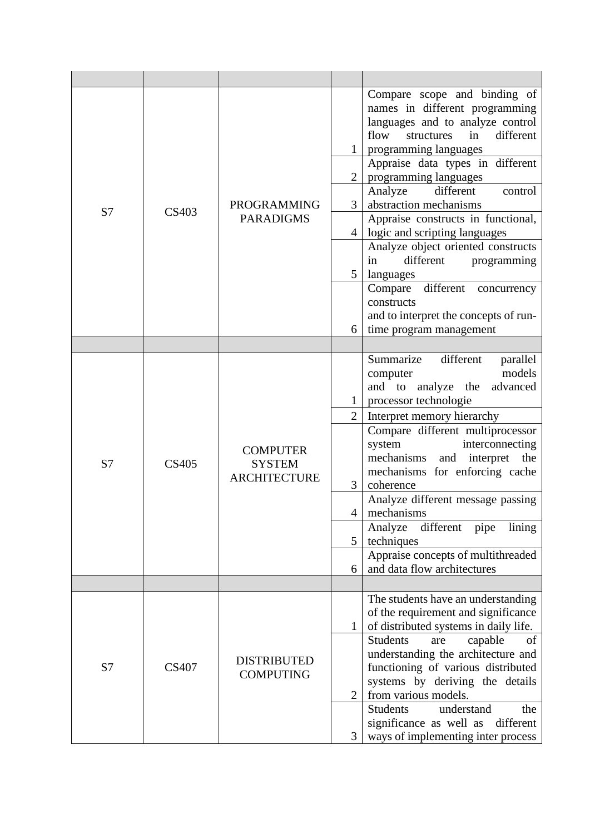| S7 | <b>CS403</b> | <b>PROGRAMMING</b><br><b>PARADIGMS</b>                  | $\overline{2}$<br>3<br>$\overline{4}$<br>$5\overline{)}$<br>6                | Compare scope and binding of<br>names in different programming<br>languages and to analyze control<br>different<br>flow<br>structures<br>in<br>programming languages<br>Appraise data types in different<br>programming languages<br>Analyze<br>different<br>control<br>abstraction mechanisms<br>Appraise constructs in functional,<br>logic and scripting languages<br>Analyze object oriented constructs<br>different<br>programming<br>in<br>languages<br>different<br>Compare<br>concurrency<br>constructs<br>and to interpret the concepts of run-<br>time program management |
|----|--------------|---------------------------------------------------------|------------------------------------------------------------------------------|-------------------------------------------------------------------------------------------------------------------------------------------------------------------------------------------------------------------------------------------------------------------------------------------------------------------------------------------------------------------------------------------------------------------------------------------------------------------------------------------------------------------------------------------------------------------------------------|
|    |              |                                                         |                                                                              |                                                                                                                                                                                                                                                                                                                                                                                                                                                                                                                                                                                     |
| S7 | <b>CS405</b> | <b>COMPUTER</b><br><b>SYSTEM</b><br><b>ARCHITECTURE</b> | $\mathbf{1}$<br>$\overline{2}$<br>$\mathfrak{Z}$<br>$\overline{4}$<br>5<br>6 | Summarize<br>different<br>parallel<br>models<br>computer<br>and to analyze the<br>advanced<br>processor technologie<br>Interpret memory hierarchy<br>Compare different multiprocessor<br>system<br>interconnecting<br>mechanisms<br>and interpret the<br>mechanisms for enforcing cache<br>coherence<br>Analyze different message passing<br>mechanisms<br>different<br>Analyze<br>pipe<br>lining<br>techniques<br>Appraise concepts of multithreaded<br>and data flow architectures                                                                                                |
|    |              |                                                         |                                                                              |                                                                                                                                                                                                                                                                                                                                                                                                                                                                                                                                                                                     |
| S7 | <b>CS407</b> | <b>DISTRIBUTED</b><br><b>COMPUTING</b>                  | $\mathbf{1}$<br>$\overline{2}$<br>3                                          | The students have an understanding<br>of the requirement and significance<br>of distributed systems in daily life.<br><b>Students</b><br>capable<br>of<br>are<br>understanding the architecture and<br>functioning of various distributed<br>systems by deriving the details<br>from various models.<br><b>Students</b><br>understand<br>the<br>significance as well as<br>different<br>ways of implementing inter process                                                                                                                                                          |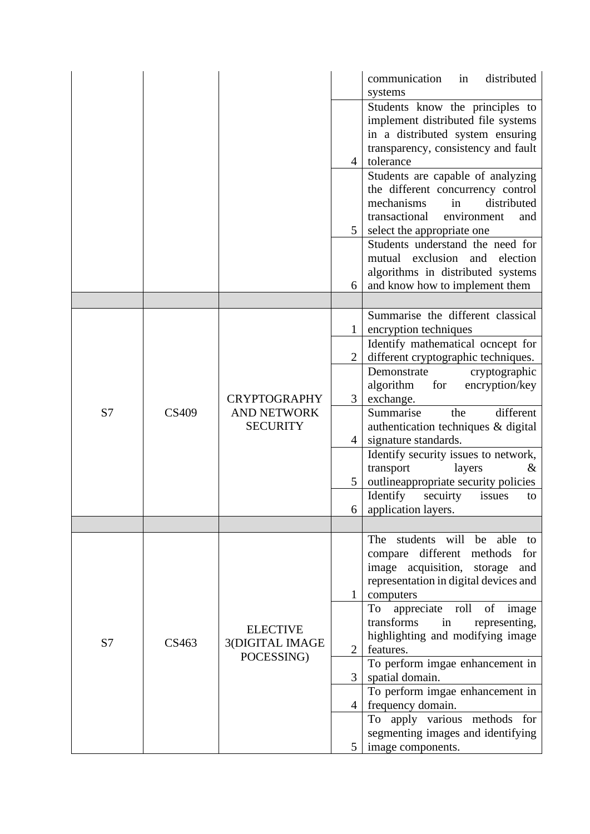|    |              |                                                              |                | distributed<br>communication<br>in    |
|----|--------------|--------------------------------------------------------------|----------------|---------------------------------------|
|    |              |                                                              |                | systems                               |
|    |              |                                                              |                | Students know the principles to       |
|    |              |                                                              |                | implement distributed file systems    |
|    |              |                                                              |                | in a distributed system ensuring      |
|    |              |                                                              |                | transparency, consistency and fault   |
|    |              |                                                              | $\overline{4}$ | tolerance                             |
|    |              |                                                              |                | Students are capable of analyzing     |
|    |              |                                                              |                | the different concurrency control     |
|    |              |                                                              |                | mechanisms<br>in<br>distributed       |
|    |              |                                                              |                | transactional<br>environment<br>and   |
|    |              |                                                              | 5              | select the appropriate one            |
|    |              |                                                              |                | Students understand the need for      |
|    |              |                                                              |                | mutual exclusion and<br>election      |
|    |              |                                                              |                | algorithms in distributed systems     |
|    |              |                                                              | 6              | and know how to implement them        |
|    |              |                                                              |                |                                       |
|    |              |                                                              |                | Summarise the different classical     |
|    |              |                                                              |                | encryption techniques                 |
|    |              | <b>CRYPTOGRAPHY</b><br><b>AND NETWORK</b><br><b>SECURITY</b> |                | Identify mathematical ocncept for     |
|    | <b>CS409</b> |                                                              | 2              | different cryptographic techniques.   |
|    |              |                                                              |                |                                       |
|    |              |                                                              |                | Demonstrate<br>cryptographic          |
|    |              |                                                              |                | algorithm<br>for<br>encryption/key    |
|    |              |                                                              | 3              | exchange.                             |
| S7 |              |                                                              |                | Summarise<br>the<br>different         |
|    |              |                                                              |                | authentication techniques & digital   |
|    |              |                                                              | $\overline{4}$ | signature standards.                  |
|    |              |                                                              |                | Identify security issues to network,  |
|    |              |                                                              |                | transport<br>layers<br>&              |
|    |              |                                                              | 5              | outlineappropriate security policies  |
|    |              |                                                              |                | Identify<br>secuirty<br>issues<br>to  |
|    |              |                                                              | $6 \mid$       | application layers.                   |
|    |              |                                                              |                |                                       |
|    |              |                                                              |                | students will be<br>The<br>able<br>to |
|    |              |                                                              |                | compare different methods<br>for      |
|    |              |                                                              |                | image acquisition, storage<br>and     |
|    |              |                                                              |                | representation in digital devices and |
|    |              |                                                              | $\mathbf{1}$   | computers                             |
|    |              |                                                              |                | To appreciate roll<br>of image        |
|    |              | <b>ELECTIVE</b>                                              |                | transforms<br>representing,<br>in     |
|    | CS463        |                                                              |                | highlighting and modifying image      |
| S7 |              | 3(DIGITAL IMAGE<br>POCESSING)                                | $\overline{2}$ | features.                             |
|    |              |                                                              |                | To perform imgae enhancement in       |
|    |              |                                                              | $\overline{3}$ | spatial domain.                       |
|    |              |                                                              |                | To perform imgae enhancement in       |
|    |              |                                                              | $\overline{4}$ | frequency domain.                     |
|    |              |                                                              |                | To apply various methods for          |
|    |              |                                                              |                | segmenting images and identifying     |
|    |              |                                                              | 5              | image components.                     |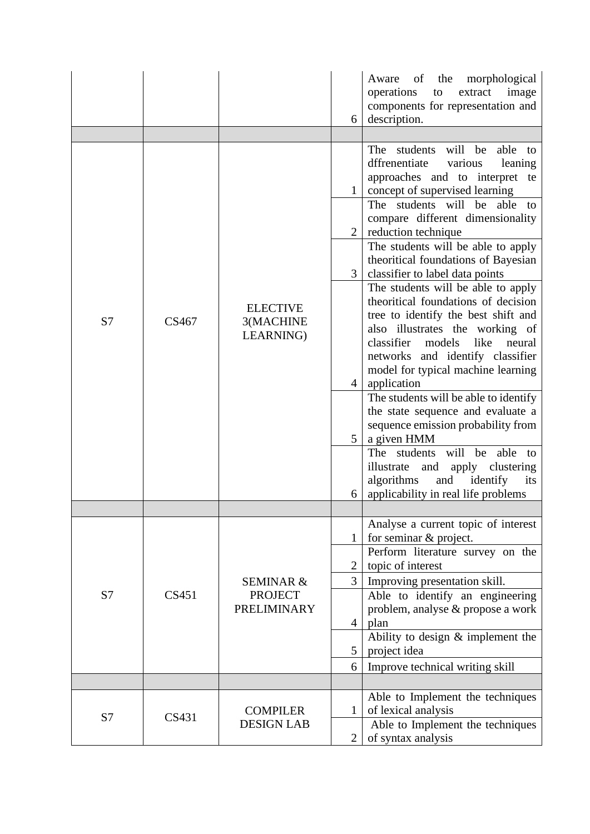|    |       |                                           | 6                 | the<br>morphological<br>Aware of<br>operations<br>extract<br>image<br>to<br>components for representation and<br>description.                                                                                                                                                          |
|----|-------|-------------------------------------------|-------------------|----------------------------------------------------------------------------------------------------------------------------------------------------------------------------------------------------------------------------------------------------------------------------------------|
|    |       |                                           |                   |                                                                                                                                                                                                                                                                                        |
|    |       |                                           | $\mathbf{1}$      | students will be<br>able to<br>The<br>various<br>dffrenentiate<br>leaning<br>approaches and to interpret te<br>concept of supervised learning                                                                                                                                          |
|    |       |                                           | $\overline{2}$    | The students will be<br>able<br>to<br>compare different dimensionality<br>reduction technique                                                                                                                                                                                          |
|    |       |                                           | $\overline{3}$    | The students will be able to apply<br>theoritical foundations of Bayesian<br>classifier to label data points                                                                                                                                                                           |
| S7 | CS467 | <b>ELECTIVE</b><br>3(MACHINE<br>LEARNING) | $\overline{4}$    | The students will be able to apply<br>theoritical foundations of decision<br>tree to identify the best shift and<br>also illustrates the working of<br>classifier<br>models<br>like<br>neural<br>networks and identify classifier<br>model for typical machine learning<br>application |
|    |       |                                           | 5 <sup>1</sup>    | The students will be able to identify<br>the state sequence and evaluate a<br>sequence emission probability from<br>a given HMM<br>The students will be<br>able to                                                                                                                     |
|    |       |                                           | 6                 | illustrate<br>apply clustering<br>and<br>algorithms<br>identify<br>its<br>and<br>applicability in real life problems                                                                                                                                                                   |
|    |       |                                           |                   | Analyse a current topic of interest                                                                                                                                                                                                                                                    |
|    |       |                                           | $\mathbf{1}$<br>2 | for seminar & project.<br>Perform literature survey on the<br>topic of interest                                                                                                                                                                                                        |
|    |       | <b>SEMINAR &amp;</b>                      | $\mathfrak{Z}$    | Improving presentation skill.                                                                                                                                                                                                                                                          |
| S7 | CS451 | <b>PROJECT</b><br><b>PRELIMINARY</b>      |                   | Able to identify an engineering<br>problem, analyse & propose a work                                                                                                                                                                                                                   |
|    |       |                                           | $\overline{4}$    | plan                                                                                                                                                                                                                                                                                   |
|    |       |                                           | 5                 | Ability to design $&$ implement the<br>project idea                                                                                                                                                                                                                                    |
|    |       |                                           | 6                 | Improve technical writing skill                                                                                                                                                                                                                                                        |
|    |       |                                           |                   |                                                                                                                                                                                                                                                                                        |
|    |       |                                           |                   | Able to Implement the techniques                                                                                                                                                                                                                                                       |
| S7 | CS431 | <b>COMPILER</b><br><b>DESIGN LAB</b>      | 1                 | of lexical analysis<br>Able to Implement the techniques                                                                                                                                                                                                                                |
|    |       |                                           | $\overline{2}$    | of syntax analysis                                                                                                                                                                                                                                                                     |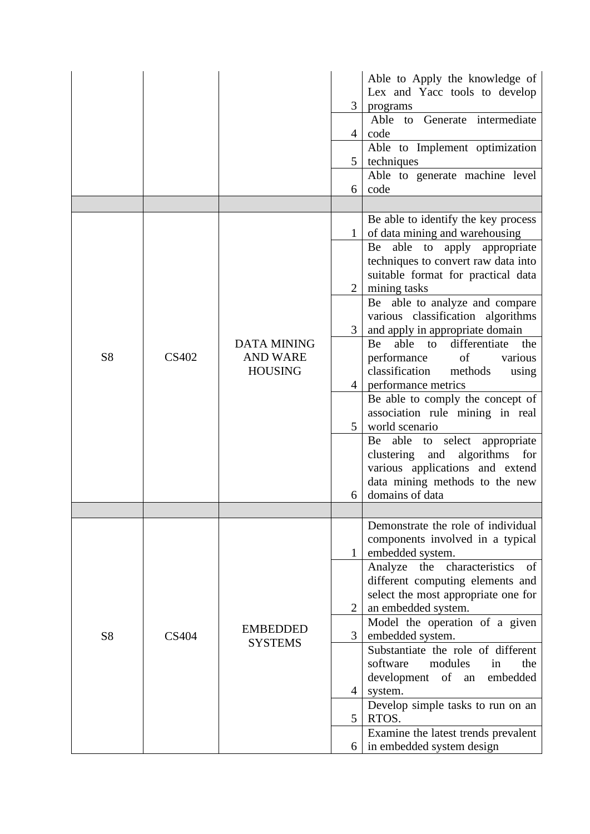|                |              |                                   |                | Able to Apply the knowledge of                              |
|----------------|--------------|-----------------------------------|----------------|-------------------------------------------------------------|
|                |              |                                   |                | Lex and Yacc tools to develop                               |
|                |              |                                   | 3              | programs                                                    |
|                |              |                                   |                | to Generate intermediate<br>Able                            |
|                |              |                                   | $\overline{4}$ | code                                                        |
|                |              |                                   |                | Able to Implement optimization                              |
|                |              |                                   | $5^{\circ}$    | techniques                                                  |
|                |              |                                   |                | Able to generate machine level                              |
|                |              |                                   | 6              | code                                                        |
|                |              |                                   |                |                                                             |
|                |              |                                   |                | Be able to identify the key process                         |
|                |              |                                   |                | of data mining and warehousing<br>able to<br>Be             |
|                |              |                                   |                | apply<br>appropriate<br>techniques to convert raw data into |
|                |              |                                   |                | suitable format for practical data                          |
|                |              |                                   | $\overline{2}$ | mining tasks                                                |
|                |              |                                   |                | Be able to analyze and compare                              |
|                |              |                                   |                | various classification algorithms                           |
|                |              |                                   |                | and apply in appropriate domain                             |
|                |              | <b>DATA MINING</b>                |                | able<br>differentiate<br>Be<br>the<br>to                    |
| S <sub>8</sub> | <b>CS402</b> | <b>AND WARE</b><br><b>HOUSING</b> |                | performance<br>of<br>various                                |
|                |              |                                   |                | classification<br>methods<br>using                          |
|                |              |                                   | $\overline{4}$ | performance metrics                                         |
|                |              |                                   |                | Be able to comply the concept of                            |
|                |              |                                   |                | association rule mining in real                             |
|                |              |                                   | 5 <sup>5</sup> | world scenario                                              |
|                |              |                                   |                | Be able to select appropriate                               |
|                |              |                                   |                | clustering and<br>algorithms for                            |
|                |              |                                   |                | various applications and extend                             |
|                |              |                                   |                | data mining methods to the new                              |
|                |              |                                   | 6              | domains of data                                             |
|                |              |                                   |                |                                                             |
|                |              |                                   |                | Demonstrate the role of individual                          |
|                |              |                                   |                | components involved in a typical                            |
|                |              |                                   | $\mathbf{1}$   | embedded system.                                            |
|                |              |                                   |                | Analyze the characteristics<br>of                           |
|                |              |                                   |                | different computing elements and                            |
|                |              |                                   |                | select the most appropriate one for                         |
|                |              |                                   | $\overline{2}$ | an embedded system.                                         |
|                |              | <b>EMBEDDED</b>                   |                | Model the operation of a given                              |
| S <sub>8</sub> | <b>CS404</b> | <b>SYSTEMS</b>                    | 3              | embedded system.                                            |
|                |              |                                   |                | Substantiate the role of different                          |
|                |              |                                   |                | software<br>the<br>modules<br>in                            |
|                |              |                                   |                | development<br>of<br>embedded<br>an                         |
|                |              |                                   | $\overline{4}$ | system.                                                     |
|                |              |                                   | 5 <sup>5</sup> | Develop simple tasks to run on an<br>RTOS.                  |
|                |              |                                   |                | Examine the latest trends prevalent                         |
|                |              |                                   | 6              | in embedded system design                                   |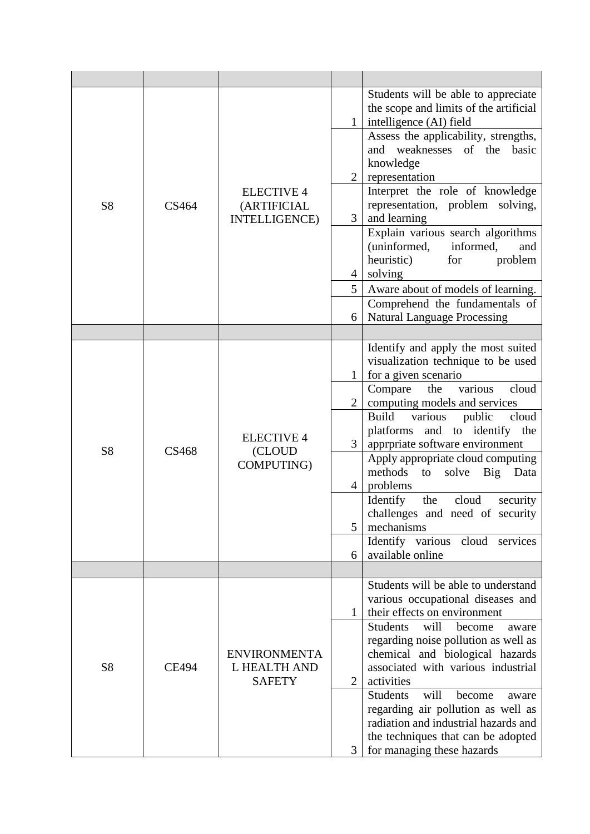| S <sub>8</sub> | CS464        | <b>ELECTIVE 4</b><br>(ARTIFICIAL<br><b>INTELLIGENCE</b> ) | $\mathbf{1}$<br>$\overline{2}$<br>$\overline{3}$<br>$\overline{4}$<br>5 <sup>1</sup> | Students will be able to appreciate<br>the scope and limits of the artificial<br>intelligence (AI) field<br>Assess the applicability, strengths,<br>and weaknesses<br>of the<br>basic<br>knowledge<br>representation<br>Interpret the role of knowledge<br>representation, problem solving,<br>and learning<br>Explain various search algorithms<br>(uninformed,<br>informed,<br>and<br>heuristic)<br>for<br>problem<br>solving<br>Aware about of models of learning.                                                               |
|----------------|--------------|-----------------------------------------------------------|--------------------------------------------------------------------------------------|-------------------------------------------------------------------------------------------------------------------------------------------------------------------------------------------------------------------------------------------------------------------------------------------------------------------------------------------------------------------------------------------------------------------------------------------------------------------------------------------------------------------------------------|
|                |              |                                                           | 6                                                                                    | Comprehend the fundamentals of<br><b>Natural Language Processing</b>                                                                                                                                                                                                                                                                                                                                                                                                                                                                |
|                |              |                                                           |                                                                                      |                                                                                                                                                                                                                                                                                                                                                                                                                                                                                                                                     |
| S <sub>8</sub> | <b>CS468</b> | <b>ELECTIVE 4</b><br>(CLOUD<br>COMPUTING)                 | $\mathbf{1}$<br>$\overline{2}$<br>$\overline{3}$<br>$\overline{4}$<br>5<br>6         | Identify and apply the most suited<br>visualization technique to be used<br>for a given scenario<br>various<br>cloud<br>the<br>Compare<br>computing models and services<br><b>Build</b><br>cloud<br>various<br>public<br>platforms and to identify the<br>apprpriate software environment<br>Apply appropriate cloud computing<br>methods<br>solve Big<br>to<br>Data<br>problems<br>cloud<br>Identify<br>the<br>security<br>challenges and need of security<br>mechanisms<br>Identify various<br>cloud services<br>available online |
|                |              |                                                           |                                                                                      |                                                                                                                                                                                                                                                                                                                                                                                                                                                                                                                                     |
| S <sub>8</sub> | <b>CE494</b> | <b>ENVIRONMENTA</b><br>L HEALTH AND<br><b>SAFETY</b>      | $\mathbf{1}$<br>$\overline{2}$<br>3                                                  | Students will be able to understand<br>various occupational diseases and<br>their effects on environment<br><b>Students</b><br>will<br>become<br>aware<br>regarding noise pollution as well as<br>chemical and biological hazards<br>associated with various industrial<br>activities<br><b>Students</b><br>will<br>become<br>aware<br>regarding air pollution as well as<br>radiation and industrial hazards and<br>the techniques that can be adopted<br>for managing these hazards                                               |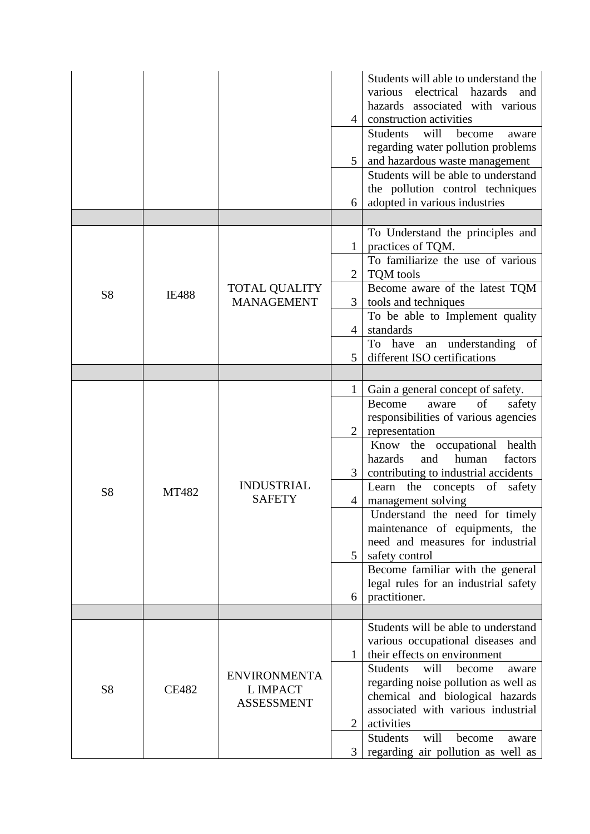|                |              |                                                             | $\overline{4}$<br>$5\overline{)}$<br>6 | Students will able to understand the<br>electrical hazards<br>various<br>and<br>hazards associated with various<br>construction activities<br><b>Students</b><br>will<br>become<br>aware<br>regarding water pollution problems<br>and hazardous waste management<br>Students will be able to understand<br>the pollution control techniques<br>adopted in various industries |
|----------------|--------------|-------------------------------------------------------------|----------------------------------------|------------------------------------------------------------------------------------------------------------------------------------------------------------------------------------------------------------------------------------------------------------------------------------------------------------------------------------------------------------------------------|
|                |              |                                                             |                                        |                                                                                                                                                                                                                                                                                                                                                                              |
|                |              |                                                             | $\mathbf{1}$                           | To Understand the principles and<br>practices of TQM.                                                                                                                                                                                                                                                                                                                        |
|                |              |                                                             | $\overline{2}$                         | To familiarize the use of various<br>TQM tools                                                                                                                                                                                                                                                                                                                               |
| S <sub>8</sub> | <b>IE488</b> | <b>TOTAL QUALITY</b><br><b>MANAGEMENT</b>                   | 3 <sup>1</sup>                         | Become aware of the latest TQM<br>tools and techniques                                                                                                                                                                                                                                                                                                                       |
|                |              |                                                             | $\overline{4}$                         | To be able to Implement quality<br>standards                                                                                                                                                                                                                                                                                                                                 |
|                |              |                                                             | 5                                      | To have an understanding of<br>different ISO certifications                                                                                                                                                                                                                                                                                                                  |
|                |              |                                                             |                                        |                                                                                                                                                                                                                                                                                                                                                                              |
|                | <b>MT482</b> | <b>INDUSTRIAL</b><br><b>SAFETY</b>                          | $\mathbf{1}$                           | Gain a general concept of safety.                                                                                                                                                                                                                                                                                                                                            |
|                |              |                                                             | $\overline{2}$                         | Become<br>of<br>safety<br>aware<br>responsibilities of various agencies<br>representation                                                                                                                                                                                                                                                                                    |
|                |              |                                                             | 3                                      | health<br>Know the occupational<br>factors<br>hazards<br>human<br>and<br>contributing to industrial accidents                                                                                                                                                                                                                                                                |
| S8             |              |                                                             | 4                                      | Learn<br>the concepts<br>of<br>safety<br>management solving                                                                                                                                                                                                                                                                                                                  |
|                |              |                                                             |                                        | Understand the need for timely<br>maintenance of equipments, the<br>need and measures for industrial                                                                                                                                                                                                                                                                         |
|                |              |                                                             | 5                                      | safety control<br>Become familiar with the general                                                                                                                                                                                                                                                                                                                           |
|                |              |                                                             | 6                                      | legal rules for an industrial safety<br>practitioner.                                                                                                                                                                                                                                                                                                                        |
|                |              |                                                             |                                        |                                                                                                                                                                                                                                                                                                                                                                              |
|                |              |                                                             |                                        | Students will be able to understand                                                                                                                                                                                                                                                                                                                                          |
| S <sub>8</sub> | <b>CE482</b> | <b>ENVIRONMENTA</b><br><b>L IMPACT</b><br><b>ASSESSMENT</b> | $\mathbf{1}$                           | various occupational diseases and<br>their effects on environment                                                                                                                                                                                                                                                                                                            |
|                |              |                                                             |                                        | <b>Students</b><br>will<br>become<br>aware                                                                                                                                                                                                                                                                                                                                   |
|                |              |                                                             |                                        | regarding noise pollution as well as<br>chemical and biological hazards                                                                                                                                                                                                                                                                                                      |
|                |              |                                                             | $\overline{2}$                         | associated with various industrial<br>activities                                                                                                                                                                                                                                                                                                                             |
|                |              |                                                             | 3                                      | <b>Students</b><br>will<br>become<br>aware<br>regarding air pollution as well as                                                                                                                                                                                                                                                                                             |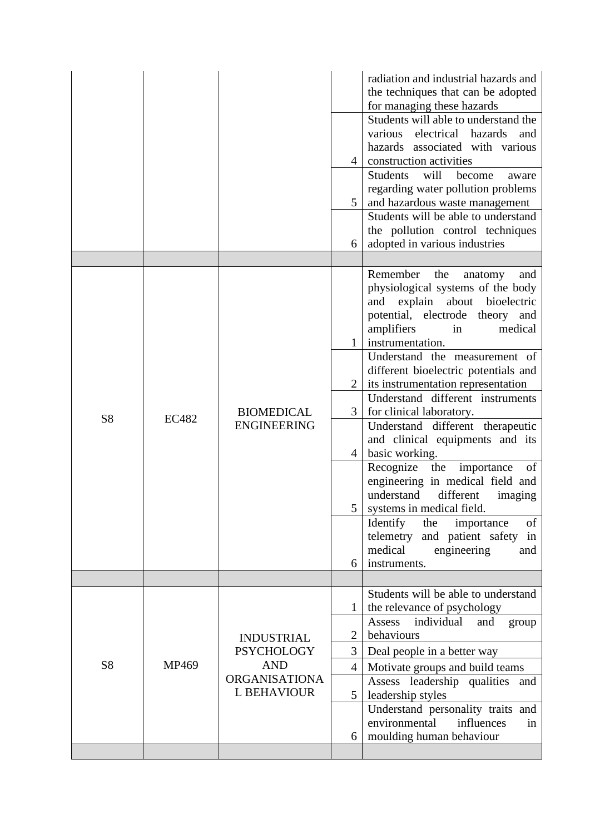|                |              |                                                                                             | $\overline{4}$<br>5               | radiation and industrial hazards and<br>the techniques that can be adopted<br>for managing these hazards<br>Students will able to understand the<br>electrical hazards<br>various<br>and<br>hazards associated with various<br>construction activities<br>Students<br>will<br>become<br>aware<br>regarding water pollution problems<br>and hazardous waste management<br>Students will be able to understand                                                                                                                                                                                                                                                                                                                                                |
|----------------|--------------|---------------------------------------------------------------------------------------------|-----------------------------------|-------------------------------------------------------------------------------------------------------------------------------------------------------------------------------------------------------------------------------------------------------------------------------------------------------------------------------------------------------------------------------------------------------------------------------------------------------------------------------------------------------------------------------------------------------------------------------------------------------------------------------------------------------------------------------------------------------------------------------------------------------------|
|                |              |                                                                                             |                                   | the pollution control techniques                                                                                                                                                                                                                                                                                                                                                                                                                                                                                                                                                                                                                                                                                                                            |
|                |              |                                                                                             | 6                                 | adopted in various industries                                                                                                                                                                                                                                                                                                                                                                                                                                                                                                                                                                                                                                                                                                                               |
| S <sub>8</sub> | <b>EC482</b> | <b>BIOMEDICAL</b><br><b>ENGINEERING</b>                                                     | $\mathbf{1}$<br>3<br>4<br>6       | Remember the<br>and<br>anatomy<br>physiological systems of the body<br>explain<br>about<br>bioelectric<br>and<br>potential, electrode theory and<br>amplifiers<br>medical<br>in<br>instrumentation.<br>Understand the measurement of<br>different bioelectric potentials and<br>its instrumentation representation<br>Understand different instruments<br>for clinical laboratory.<br>Understand different therapeutic<br>and clinical equipments and its<br>basic working.<br>Recognize<br>the<br>importance<br>of<br>engineering in medical field and<br>understand<br>different<br>imaging<br>systems in medical field.<br>of<br>Identify<br>the<br>importance<br>and patient safety<br>telemetry<br>in<br>medical<br>engineering<br>and<br>instruments. |
|                |              |                                                                                             |                                   |                                                                                                                                                                                                                                                                                                                                                                                                                                                                                                                                                                                                                                                                                                                                                             |
| S <sub>8</sub> | MP469        | <b>INDUSTRIAL</b><br><b>PSYCHOLOGY</b><br><b>AND</b><br><b>ORGANISATIONA</b><br>L BEHAVIOUR | $\overline{2}$<br>3               | Students will be able to understand<br>the relevance of psychology<br>individual<br>Assess<br>and<br>group<br>behaviours<br>Deal people in a better way                                                                                                                                                                                                                                                                                                                                                                                                                                                                                                                                                                                                     |
|                |              |                                                                                             | $\overline{4}$<br>$5\overline{)}$ | Motivate groups and build teams<br>Assess leadership qualities and<br>leadership styles<br>Understand personality traits and<br>environmental<br>influences<br>in                                                                                                                                                                                                                                                                                                                                                                                                                                                                                                                                                                                           |
|                |              |                                                                                             | 6                                 | moulding human behaviour                                                                                                                                                                                                                                                                                                                                                                                                                                                                                                                                                                                                                                                                                                                                    |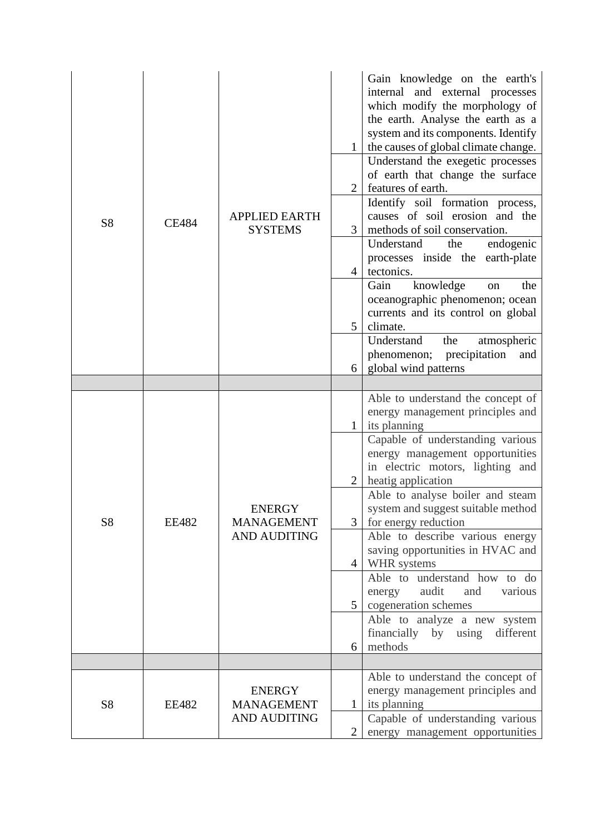| S8 | <b>CE484</b> | <b>APPLIED EARTH</b><br><b>SYSTEMS</b>                    | 2<br>3<br>4<br>5<br>6            | Gain knowledge on the earth's<br>internal and external processes<br>which modify the morphology of<br>the earth. Analyse the earth as a<br>system and its components. Identify<br>the causes of global climate change.<br>Understand the exegetic processes<br>of earth that change the surface<br>features of earth.<br>Identify soil formation process,<br>causes of soil erosion and the<br>methods of soil conservation.<br>Understand<br>the<br>endogenic<br>processes inside the earth-plate<br>tectonics.<br>knowledge<br>Gain<br>the<br>on<br>oceanographic phenomenon; ocean<br>currents and its control on global<br>climate.<br>Understand<br>the<br>atmospheric<br>phenomenon;<br>precipitation<br>and<br>global wind patterns |
|----|--------------|-----------------------------------------------------------|----------------------------------|--------------------------------------------------------------------------------------------------------------------------------------------------------------------------------------------------------------------------------------------------------------------------------------------------------------------------------------------------------------------------------------------------------------------------------------------------------------------------------------------------------------------------------------------------------------------------------------------------------------------------------------------------------------------------------------------------------------------------------------------|
|    |              |                                                           |                                  |                                                                                                                                                                                                                                                                                                                                                                                                                                                                                                                                                                                                                                                                                                                                            |
| S8 | <b>EE482</b> | <b>ENERGY</b><br><b>MANAGEMENT</b><br><b>AND AUDITING</b> | $\mathbf{1}$<br>3<br>4<br>5<br>6 | Able to understand the concept of<br>energy management principles and<br>its planning<br>Capable of understanding various<br>energy management opportunities<br>in electric motors, lighting and<br>heatig application<br>Able to analyse boiler and steam<br>system and suggest suitable method<br>for energy reduction<br>Able to describe various energy<br>saving opportunities in HVAC and<br>WHR systems<br>Able to understand how to do<br>audit<br>and<br>various<br>energy<br>cogeneration schemes<br>Able to analyze a new system<br>financially by using<br>different<br>methods                                                                                                                                                |
|    |              |                                                           |                                  |                                                                                                                                                                                                                                                                                                                                                                                                                                                                                                                                                                                                                                                                                                                                            |
| S8 | <b>EE482</b> | <b>ENERGY</b><br><b>MANAGEMENT</b><br><b>AND AUDITING</b> | 1<br>$\overline{2}$              | Able to understand the concept of<br>energy management principles and<br>its planning<br>Capable of understanding various<br>energy management opportunities                                                                                                                                                                                                                                                                                                                                                                                                                                                                                                                                                                               |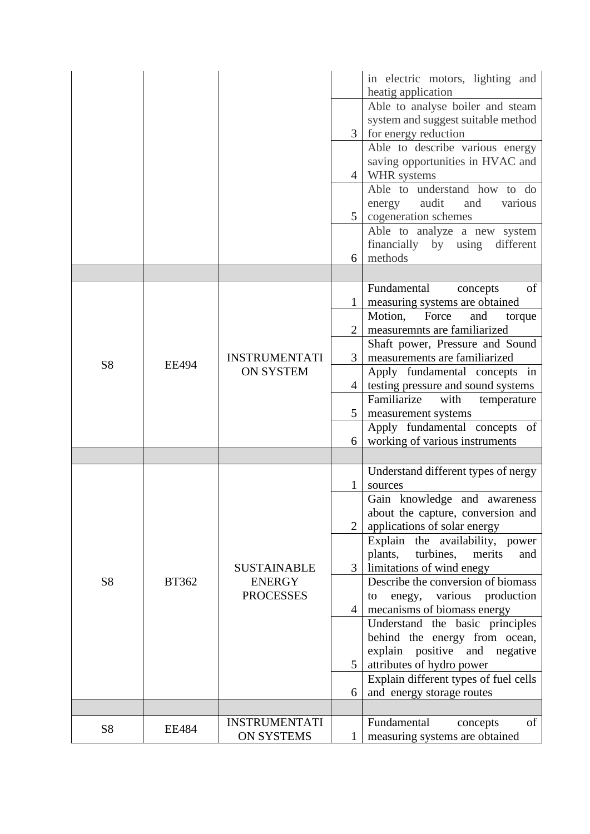|                |              |                                                         |                | in electric motors, lighting and           |
|----------------|--------------|---------------------------------------------------------|----------------|--------------------------------------------|
|                |              |                                                         |                | heatig application                         |
|                |              |                                                         |                | Able to analyse boiler and steam           |
|                |              |                                                         |                | system and suggest suitable method         |
|                |              |                                                         |                | for energy reduction                       |
|                |              |                                                         |                | Able to describe various energy            |
|                |              |                                                         |                | saving opportunities in HVAC and           |
|                |              |                                                         | $\overline{4}$ | WHR systems                                |
|                |              |                                                         |                | Able to understand how to do               |
|                |              |                                                         |                | audit<br>and<br>various<br>energy          |
|                |              |                                                         | 5              | cogeneration schemes                       |
|                |              |                                                         |                | Able to analyze a new system               |
|                |              |                                                         |                | financially by using different<br>methods  |
|                |              |                                                         | 6              |                                            |
|                |              |                                                         |                | of<br>Fundamental                          |
|                |              |                                                         |                | concepts<br>measuring systems are obtained |
|                |              |                                                         |                | Motion, Force<br>and<br>torque             |
|                |              |                                                         |                | measuremnts are familiarized               |
|                |              |                                                         |                | Shaft power, Pressure and Sound            |
|                |              | <b>INSTRUMENTATI</b>                                    | 3              | measurements are familiarized              |
| <b>S8</b>      | <b>EE494</b> | <b>ON SYSTEM</b>                                        |                | Apply fundamental concepts in              |
|                |              |                                                         | $\overline{4}$ | testing pressure and sound systems         |
|                |              |                                                         |                | Familiarize<br>with<br>temperature         |
|                |              |                                                         | 5              | measurement systems                        |
|                |              |                                                         |                | Apply fundamental concepts of              |
|                |              |                                                         | 6              | working of various instruments             |
|                |              |                                                         |                |                                            |
|                |              |                                                         |                | Understand different types of nergy        |
|                |              |                                                         | 1              | sources                                    |
|                | <b>BT362</b> | <b>SUSTAINABLE</b><br><b>ENERGY</b><br><b>PROCESSES</b> |                | Gain knowledge and awareness               |
|                |              |                                                         |                | about the capture, conversion and          |
|                |              |                                                         | $\overline{2}$ | applications of solar energy               |
|                |              |                                                         |                | Explain the availability, power            |
|                |              |                                                         |                | plants,<br>turbines,<br>merits<br>and      |
|                |              |                                                         | 3              | limitations of wind enegy                  |
| S <sub>8</sub> |              |                                                         |                | Describe the conversion of biomass         |
|                |              |                                                         |                | various production<br>to<br>enegy,         |
|                |              |                                                         | $\overline{4}$ | mecanisms of biomass energy                |
|                |              |                                                         |                | Understand the basic principles            |
|                |              |                                                         |                | behind the energy from ocean,              |
|                |              |                                                         |                | explain<br>positive and negative           |
|                |              |                                                         | $5^{\circ}$    | attributes of hydro power                  |
|                |              |                                                         |                | Explain different types of fuel cells      |
|                |              |                                                         | 6              | and energy storage routes                  |
|                |              |                                                         |                |                                            |
| S <sub>8</sub> | EE484        | <b>INSTRUMENTATI</b>                                    |                | of<br>Fundamental<br>concepts              |
|                |              | <b>ON SYSTEMS</b>                                       | 1              | measuring systems are obtained             |